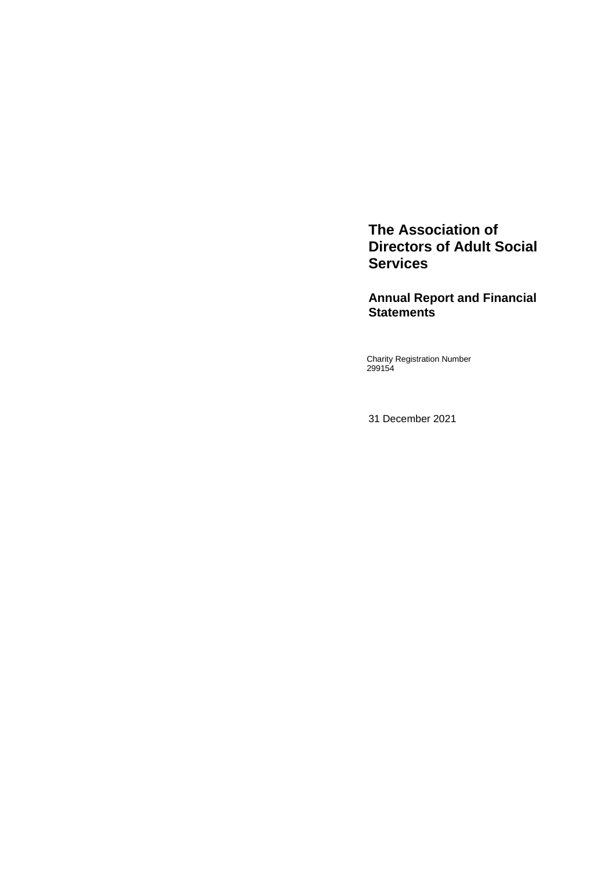**The Association of Directors of Adult Social Services**

**Annual Report and Financial Statements**

Charity Registration Number 299154

31 December 2021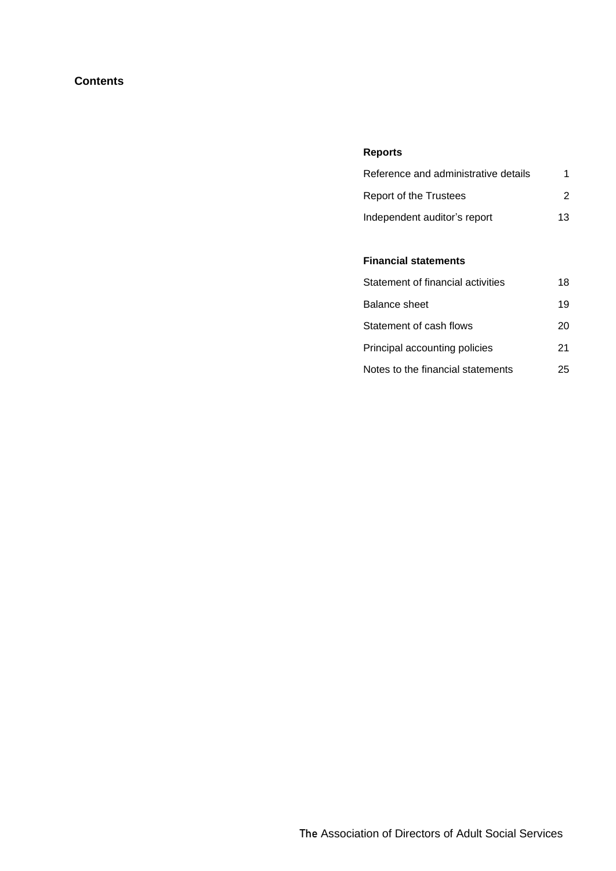# **Contents**

# **Reports**

| Reference and administrative details |    |
|--------------------------------------|----|
| Report of the Trustees               | 2  |
| Independent auditor's report         | 13 |

# **Financial statements**

| Statement of financial activities | 18 |
|-----------------------------------|----|
| <b>Balance sheet</b>              | 19 |
| Statement of cash flows           | 20 |
| Principal accounting policies     | 21 |
| Notes to the financial statements | 25 |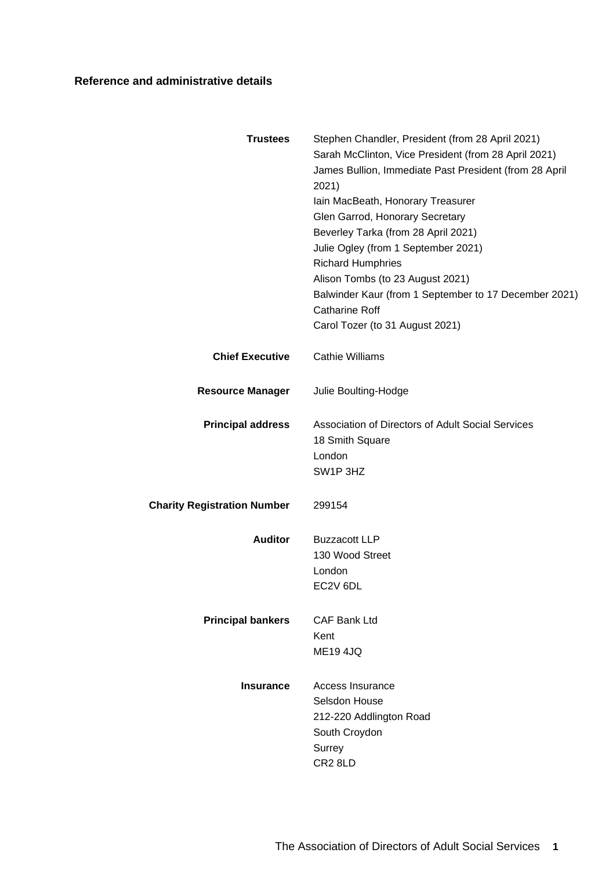# **Reference and administrative details**

<span id="page-2-0"></span>

| <b>Trustees</b>                    | Stephen Chandler, President (from 28 April 2021)<br>Sarah McClinton, Vice President (from 28 April 2021)<br>James Bullion, Immediate Past President (from 28 April<br>2021)<br>Iain MacBeath, Honorary Treasurer<br>Glen Garrod, Honorary Secretary<br>Beverley Tarka (from 28 April 2021)<br>Julie Ogley (from 1 September 2021)<br><b>Richard Humphries</b><br>Alison Tombs (to 23 August 2021)<br>Balwinder Kaur (from 1 September to 17 December 2021)<br><b>Catharine Roff</b><br>Carol Tozer (to 31 August 2021) |
|------------------------------------|------------------------------------------------------------------------------------------------------------------------------------------------------------------------------------------------------------------------------------------------------------------------------------------------------------------------------------------------------------------------------------------------------------------------------------------------------------------------------------------------------------------------|
| <b>Chief Executive</b>             | <b>Cathie Williams</b>                                                                                                                                                                                                                                                                                                                                                                                                                                                                                                 |
| <b>Resource Manager</b>            | Julie Boulting-Hodge                                                                                                                                                                                                                                                                                                                                                                                                                                                                                                   |
| <b>Principal address</b>           | Association of Directors of Adult Social Services<br>18 Smith Square<br>London<br>SW1P 3HZ                                                                                                                                                                                                                                                                                                                                                                                                                             |
| <b>Charity Registration Number</b> | 299154                                                                                                                                                                                                                                                                                                                                                                                                                                                                                                                 |
| <b>Auditor</b>                     | <b>Buzzacott LLP</b><br>130 Wood Street<br>London<br>EC2V 6DL                                                                                                                                                                                                                                                                                                                                                                                                                                                          |
| <b>Principal bankers</b>           | CAF Bank Ltd<br>Kent<br><b>ME194JQ</b>                                                                                                                                                                                                                                                                                                                                                                                                                                                                                 |
| <b>Insurance</b>                   | Access Insurance<br>Selsdon House<br>212-220 Addlington Road<br>South Croydon<br>Surrey<br>CR <sub>2</sub> 8LD                                                                                                                                                                                                                                                                                                                                                                                                         |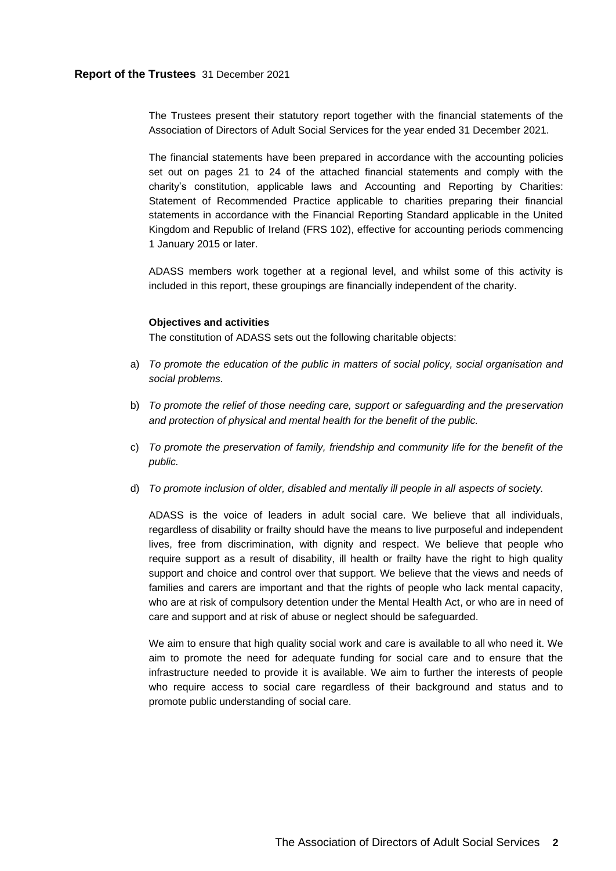# **Report of the Trustees** 31 December 2021

<span id="page-3-0"></span>The Trustees present their statutory report together with the financial statements of the Association of Directors of Adult Social Services for the year ended 31 December 2021.

The financial statements have been prepared in accordance with the accounting policies set out on pages [21](#page-22-0) to [24](#page-25-0) of the attached financial statements and comply with the charity's constitution, applicable laws and Accounting and Reporting by Charities: Statement of Recommended Practice applicable to charities preparing their financial statements in accordance with the Financial Reporting Standard applicable in the United Kingdom and Republic of Ireland (FRS 102), effective for accounting periods commencing 1 January 2015 or later.

ADASS members work together at a regional level, and whilst some of this activity is included in this report, these groupings are financially independent of the charity.

### **Objectives and activities**

The constitution of ADASS sets out the following charitable objects:

- a) *To promote the education of the public in matters of social policy, social organisation and social problems.*
- b) *To promote the relief of those needing care, support or safeguarding and the preservation and protection of physical and mental health for the benefit of the public.*
- c) *To promote the preservation of family, friendship and community life for the benefit of the public.*
- d) *To promote inclusion of older, disabled and mentally ill people in all aspects of society.*

ADASS is the voice of leaders in adult social care. We believe that all individuals, regardless of disability or frailty should have the means to live purposeful and independent lives, free from discrimination, with dignity and respect. We believe that people who require support as a result of disability, ill health or frailty have the right to high quality support and choice and control over that support. We believe that the views and needs of families and carers are important and that the rights of people who lack mental capacity, who are at risk of compulsory detention under the Mental Health Act, or who are in need of care and support and at risk of abuse or neglect should be safeguarded.

We aim to ensure that high quality social work and care is available to all who need it. We aim to promote the need for adequate funding for social care and to ensure that the infrastructure needed to provide it is available. We aim to further the interests of people who require access to social care regardless of their background and status and to promote public understanding of social care.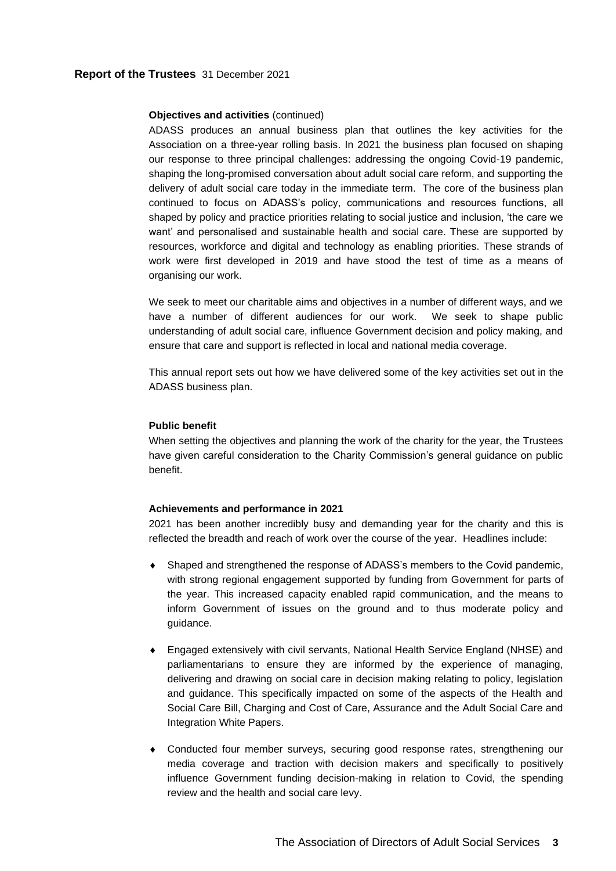## **Objectives and activities** (continued)

ADASS produces an annual business plan that outlines the key activities for the Association on a three-year rolling basis. In 2021 the business plan focused on shaping our response to three principal challenges: addressing the ongoing Covid-19 pandemic, shaping the long-promised conversation about adult social care reform, and supporting the delivery of adult social care today in the immediate term. The core of the business plan continued to focus on ADASS's policy, communications and resources functions, all shaped by policy and practice priorities relating to social justice and inclusion, 'the care we want' and personalised and sustainable health and social care. These are supported by resources, workforce and digital and technology as enabling priorities. These strands of work were first developed in 2019 and have stood the test of time as a means of organising our work.

We seek to meet our charitable aims and objectives in a number of different ways, and we have a number of different audiences for our work. We seek to shape public understanding of adult social care, influence Government decision and policy making, and ensure that care and support is reflected in local and national media coverage.

This annual report sets out how we have delivered some of the key activities set out in the ADASS business plan.

### **Public benefit**

When setting the objectives and planning the work of the charity for the year, the Trustees have given careful consideration to the Charity Commission's general guidance on public benefit.

### **Achievements and performance in 2021**

2021 has been another incredibly busy and demanding year for the charity and this is reflected the breadth and reach of work over the course of the year. Headlines include:

- Shaped and strengthened the response of ADASS's members to the Covid pandemic, with strong regional engagement supported by funding from Government for parts of the year. This increased capacity enabled rapid communication, and the means to inform Government of issues on the ground and to thus moderate policy and guidance.
- Engaged extensively with civil servants, National Health Service England (NHSE) and parliamentarians to ensure they are informed by the experience of managing, delivering and drawing on social care in decision making relating to policy, legislation and guidance. This specifically impacted on some of the aspects of the Health and Social Care Bill, Charging and Cost of Care, Assurance and the Adult Social Care and Integration White Papers.
- Conducted four member surveys, securing good response rates, strengthening our media coverage and traction with decision makers and specifically to positively influence Government funding decision-making in relation to Covid, the spending review and the health and social care levy.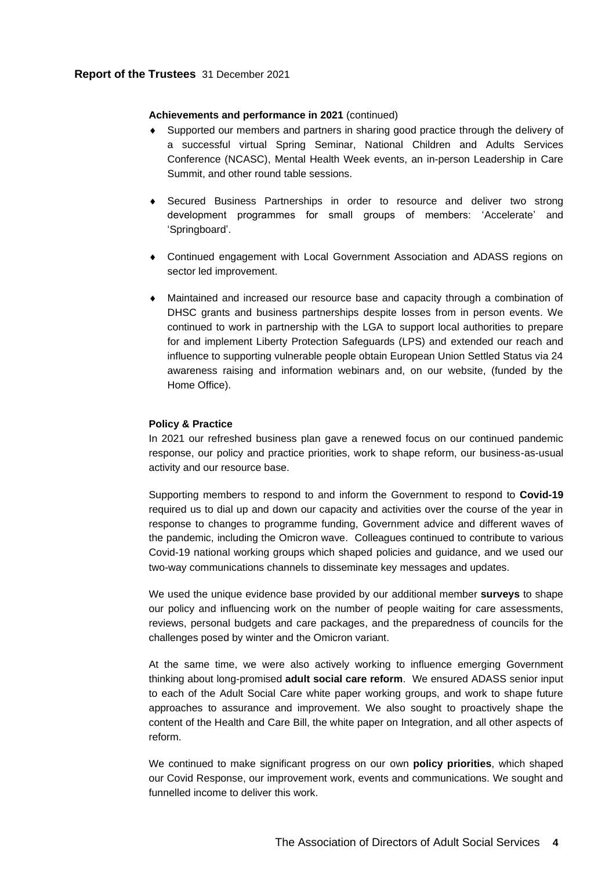# **Report of the Trustees** 31 December 2021

## **Achievements and performance in 2021** (continued)

- Supported our members and partners in sharing good practice through the delivery of a successful virtual Spring Seminar, National Children and Adults Services Conference (NCASC), Mental Health Week events, an in-person Leadership in Care Summit, and other round table sessions.
- Secured Business Partnerships in order to resource and deliver two strong development programmes for small groups of members: 'Accelerate' and 'Springboard'.
- Continued engagement with Local Government Association and ADASS regions on sector led improvement.
- Maintained and increased our resource base and capacity through a combination of DHSC grants and business partnerships despite losses from in person events. We continued to work in partnership with the LGA to support local authorities to prepare for and implement Liberty Protection Safeguards (LPS) and extended our reach and influence to supporting vulnerable people obtain European Union Settled Status via 24 awareness raising and information webinars and, on our website, (funded by the Home Office).

## **Policy & Practice**

In 2021 our refreshed business plan gave a renewed focus on our continued pandemic response, our policy and practice priorities, work to shape reform, our business-as-usual activity and our resource base.

Supporting members to respond to and inform the Government to respond to **Covid-19**  required us to dial up and down our capacity and activities over the course of the year in response to changes to programme funding, Government advice and different waves of the pandemic, including the Omicron wave. Colleagues continued to contribute to various Covid-19 national working groups which shaped policies and guidance, and we used our two-way communications channels to disseminate key messages and updates.

We used the unique evidence base provided by our additional member **surveys** to shape our policy and influencing work on the number of people waiting for care assessments, reviews, personal budgets and care packages, and the preparedness of councils for the challenges posed by winter and the Omicron variant.

At the same time, we were also actively working to influence emerging Government thinking about long-promised **adult social care reform**. We ensured ADASS senior input to each of the Adult Social Care white paper working groups, and work to shape future approaches to assurance and improvement. We also sought to proactively shape the content of the Health and Care Bill, the white paper on Integration, and all other aspects of reform.

We continued to make significant progress on our own **policy priorities**, which shaped our Covid Response, our improvement work, events and communications. We sought and funnelled income to deliver this work.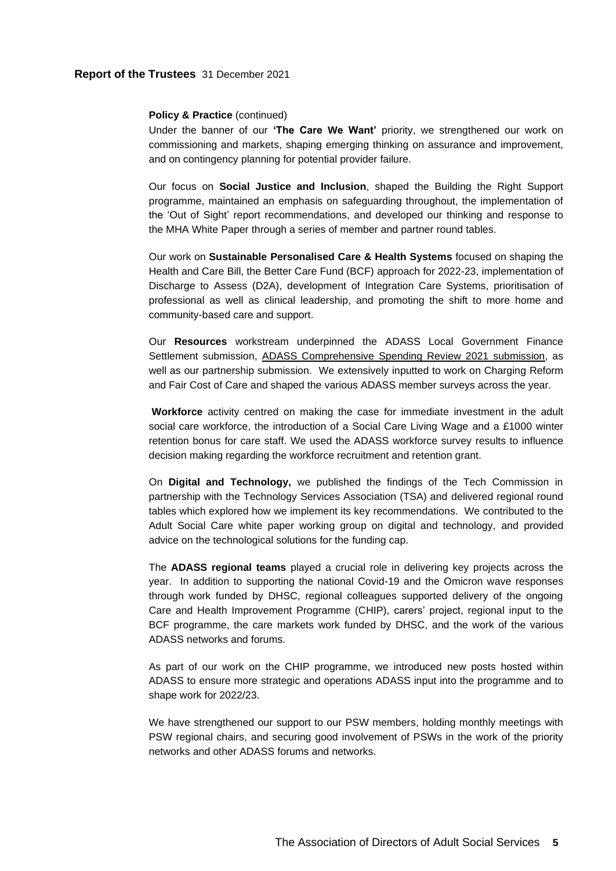# **Report of the Trustees** 31 December 2021

#### **Policy & Practice (continued)**

Under the banner of our **'The Care We Want'** priority, we strengthened our work on commissioning and markets, shaping emerging thinking on assurance and improvement, and on contingency planning for potential provider failure.

Our focus on **Social Justice and Inclusion**, shaped the Building the Right Support programme, maintained an emphasis on safeguarding throughout, the implementation of the 'Out of Sight' report recommendations, and developed our thinking and response to the MHA White Paper through a series of member and partner round tables.

Our work on **Sustainable Personalised Care & Health Systems** focused on shaping the Health and Care Bill, the Better Care Fund (BCF) approach for 2022-23, implementation of Discharge to Assess (D2A), development of Integration Care Systems, prioritisation of professional as well as clinical leadership, and promoting the shift to more home and community-based care and support.

Our **Resources** workstream underpinned the ADASS Local Government Finance Settlement submission, [ADASS Comprehensive Spending Review 2021 submission,](https://www.adass.org.uk/media/8873/adass-sr-2021_final-submission-30_9_21_.pdf) as well as our partnership submission. We extensively inputted to work on Charging Reform and Fair Cost of Care and shaped the various ADASS member surveys across the year.

**Workforce** activity centred on making the case for immediate investment in the adult social care workforce, the introduction of a Social Care Living Wage and a £1000 winter retention bonus for care staff. We used the ADASS workforce survey results to influence decision making regarding the workforce recruitment and retention grant.

On **Digital and Technology,** we published the findings of the Tech Commission in partnership with the Technology Services Association (TSA) and delivered regional round tables which explored how we implement its key recommendations. We contributed to the Adult Social Care white paper working group on digital and technology, and provided advice on the technological solutions for the funding cap.

The **ADASS regional teams** played a crucial role in delivering key projects across the year. In addition to supporting the national Covid-19 and the Omicron wave responses through work funded by DHSC, regional colleagues supported delivery of the ongoing Care and Health Improvement Programme (CHIP), carers' project, regional input to the BCF programme, the care markets work funded by DHSC, and the work of the various ADASS networks and forums.

As part of our work on the CHIP programme, we introduced new posts hosted within ADASS to ensure more strategic and operations ADASS input into the programme and to shape work for 2022/23.

We have strengthened our support to our PSW members, holding monthly meetings with PSW regional chairs, and securing good involvement of PSWs in the work of the priority networks and other ADASS forums and networks.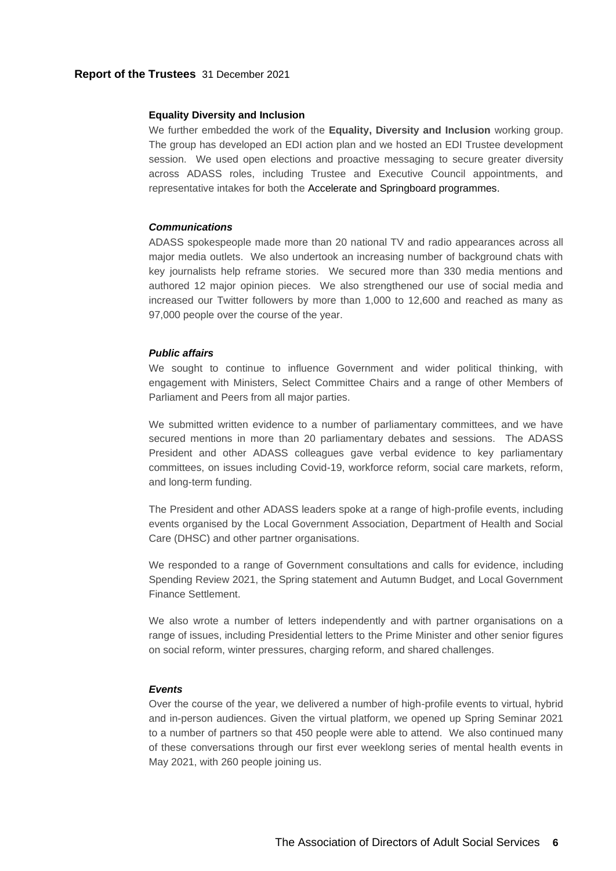### **Equality Diversity and Inclusion**

We further embedded the work of the **Equality, Diversity and Inclusion** working group. The group has developed an EDI action plan and we hosted an EDI Trustee development session. We used open elections and proactive messaging to secure greater diversity across ADASS roles, including Trustee and Executive Council appointments, and representative intakes for both the Accelerate and Springboard programmes.

### *Communications*

ADASS spokespeople made more than 20 national TV and radio appearances across all major media outlets. We also undertook an increasing number of background chats with key journalists help reframe stories. We secured more than 330 media mentions and authored 12 major opinion pieces. We also strengthened our use of social media and increased our Twitter followers by more than 1,000 to 12,600 and reached as many as 97,000 people over the course of the year.

# *Public affairs*

We sought to continue to influence Government and wider political thinking, with engagement with Ministers, Select Committee Chairs and a range of other Members of Parliament and Peers from all major parties.

We submitted written evidence to a number of parliamentary committees, and we have secured mentions in more than 20 parliamentary debates and sessions. The ADASS President and other ADASS colleagues gave verbal evidence to key parliamentary committees, on issues including Covid-19, workforce reform, social care markets, reform, and long-term funding.

The President and other ADASS leaders spoke at a range of high-profile events, including events organised by the Local Government Association, Department of Health and Social Care (DHSC) and other partner organisations.

We responded to a range of Government consultations and calls for evidence, including Spending Review 2021, the Spring statement and Autumn Budget, and Local Government Finance Settlement.

We also wrote a number of letters independently and with partner organisations on a range of issues, including Presidential letters to the Prime Minister and other senior figures on social reform, winter pressures, charging reform, and shared challenges.

# *Events*

Over the course of the year, we delivered a number of high-profile events to virtual, hybrid and in-person audiences. Given the virtual platform, we opened up Spring Seminar 2021 to a number of partners so that 450 people were able to attend. We also continued many of these conversations through our first ever weeklong series of mental health events in May 2021, with 260 people joining us.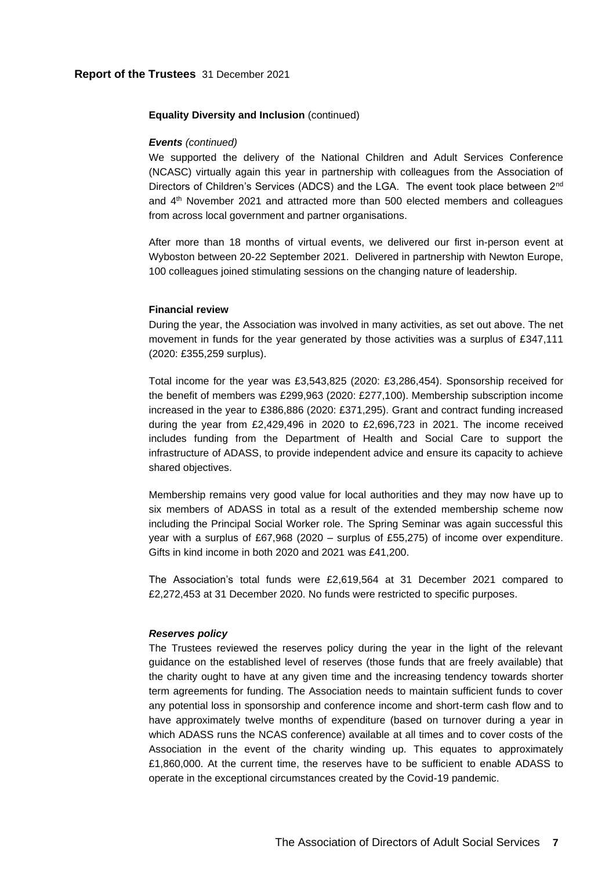#### **Equality Diversity and Inclusion** (continued)

### *Events (continued)*

We supported the delivery of the National Children and Adult Services Conference (NCASC) virtually again this year in partnership with colleagues from the Association of Directors of Children's Services (ADCS) and the LGA. The event took place between 2<sup>nd</sup> and  $4<sup>th</sup>$  November 2021 and attracted more than 500 elected members and colleagues from across local government and partner organisations.

After more than 18 months of virtual events, we delivered our first in-person event at Wyboston between 20-22 September 2021. Delivered in partnership with Newton Europe, 100 colleagues joined stimulating sessions on the changing nature of leadership.

### **Financial review**

During the year, the Association was involved in many activities, as set out above. The net movement in funds for the year generated by those activities was a surplus of £347,111 (2020: £355,259 surplus).

Total income for the year was £3,543,825 (2020: £3,286,454). Sponsorship received for the benefit of members was £299,963 (2020: £277,100). Membership subscription income increased in the year to £386,886 (2020: £371,295). Grant and contract funding increased during the year from £2,429,496 in 2020 to £2,696,723 in 2021. The income received includes funding from the Department of Health and Social Care to support the infrastructure of ADASS, to provide independent advice and ensure its capacity to achieve shared objectives.

Membership remains very good value for local authorities and they may now have up to six members of ADASS in total as a result of the extended membership scheme now including the Principal Social Worker role. The Spring Seminar was again successful this year with a surplus of £67,968 (2020 – surplus of £55,275) of income over expenditure. Gifts in kind income in both 2020 and 2021 was £41,200.

The Association's total funds were £2,619,564 at 31 December 2021 compared to £2,272,453 at 31 December 2020. No funds were restricted to specific purposes.

### *Reserves policy*

The Trustees reviewed the reserves policy during the year in the light of the relevant guidance on the established level of reserves (those funds that are freely available) that the charity ought to have at any given time and the increasing tendency towards shorter term agreements for funding. The Association needs to maintain sufficient funds to cover any potential loss in sponsorship and conference income and short-term cash flow and to have approximately twelve months of expenditure (based on turnover during a year in which ADASS runs the NCAS conference) available at all times and to cover costs of the Association in the event of the charity winding up. This equates to approximately £1,860,000. At the current time, the reserves have to be sufficient to enable ADASS to operate in the exceptional circumstances created by the Covid-19 pandemic.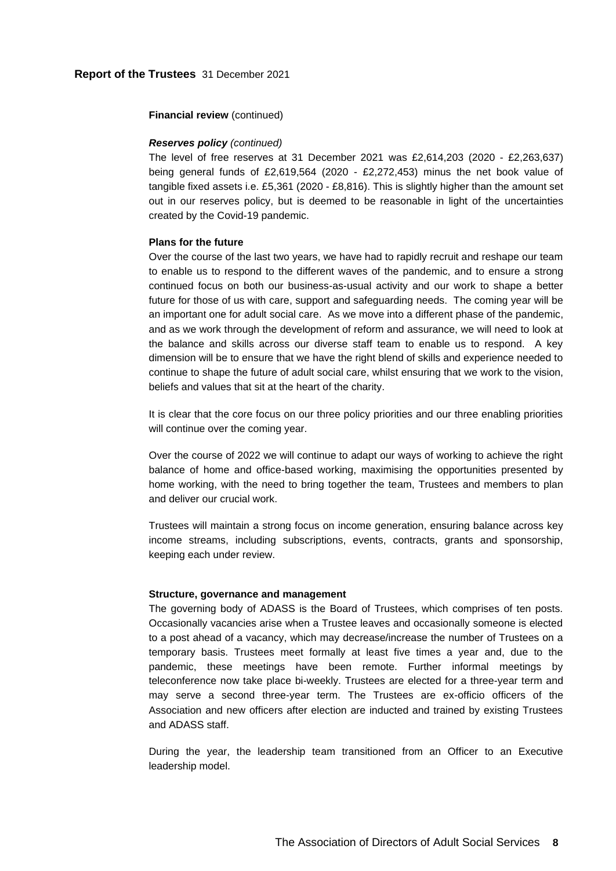### **Financial review** (continued)

### *Reserves policy (continued)*

The level of free reserves at 31 December 2021 was £2,614,203 (2020 - £2,263,637) being general funds of £2,619,564 (2020 - £2,272,453) minus the net book value of tangible fixed assets i.e. £5,361 (2020 - £8,816). This is slightly higher than the amount set out in our reserves policy, but is deemed to be reasonable in light of the uncertainties created by the Covid-19 pandemic.

### **Plans for the future**

Over the course of the last two years, we have had to rapidly recruit and reshape our team to enable us to respond to the different waves of the pandemic, and to ensure a strong continued focus on both our business-as-usual activity and our work to shape a better future for those of us with care, support and safeguarding needs. The coming year will be an important one for adult social care. As we move into a different phase of the pandemic, and as we work through the development of reform and assurance, we will need to look at the balance and skills across our diverse staff team to enable us to respond. A key dimension will be to ensure that we have the right blend of skills and experience needed to continue to shape the future of adult social care, whilst ensuring that we work to the vision, beliefs and values that sit at the heart of the charity.

It is clear that the core focus on our three policy priorities and our three enabling priorities will continue over the coming year.

Over the course of 2022 we will continue to adapt our ways of working to achieve the right balance of home and office-based working, maximising the opportunities presented by home working, with the need to bring together the team, Trustees and members to plan and deliver our crucial work.

Trustees will maintain a strong focus on income generation, ensuring balance across key income streams, including subscriptions, events, contracts, grants and sponsorship, keeping each under review.

#### **Structure, governance and management**

The governing body of ADASS is the Board of Trustees, which comprises of ten posts. Occasionally vacancies arise when a Trustee leaves and occasionally someone is elected to a post ahead of a vacancy, which may decrease/increase the number of Trustees on a temporary basis. Trustees meet formally at least five times a year and, due to the pandemic, these meetings have been remote. Further informal meetings by teleconference now take place bi-weekly. Trustees are elected for a three-year term and may serve a second three-year term. The Trustees are ex-officio officers of the Association and new officers after election are inducted and trained by existing Trustees and ADASS staff.

During the year, the leadership team transitioned from an Officer to an Executive leadership model.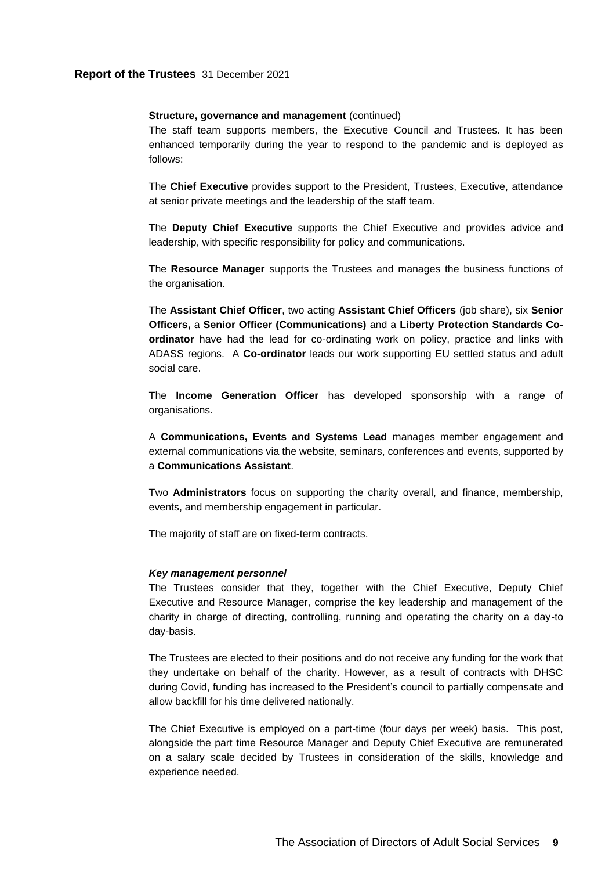# **Report of the Trustees** 31 December 2021

#### **Structure, governance and management** (continued)

The staff team supports members, the Executive Council and Trustees. It has been enhanced temporarily during the year to respond to the pandemic and is deployed as follows:

The **Chief Executive** provides support to the President, Trustees, Executive, attendance at senior private meetings and the leadership of the staff team.

The **Deputy Chief Executive** supports the Chief Executive and provides advice and leadership, with specific responsibility for policy and communications.

The **Resource Manager** supports the Trustees and manages the business functions of the organisation.

The **Assistant Chief Officer**, two acting **Assistant Chief Officers** (job share), six **Senior Officers,** a **Senior Officer (Communications)** and a **Liberty Protection Standards Coordinator** have had the lead for co-ordinating work on policy, practice and links with ADASS regions. A **Co-ordinator** leads our work supporting EU settled status and adult social care.

The **Income Generation Officer** has developed sponsorship with a range of organisations.

A **Communications, Events and Systems Lead** manages member engagement and external communications via the website, seminars, conferences and events, supported by a **Communications Assistant**.

Two **Administrators** focus on supporting the charity overall, and finance, membership, events, and membership engagement in particular.

The majority of staff are on fixed-term contracts.

#### *Key management personnel*

The Trustees consider that they, together with the Chief Executive, Deputy Chief Executive and Resource Manager, comprise the key leadership and management of the charity in charge of directing, controlling, running and operating the charity on a day-to day-basis.

The Trustees are elected to their positions and do not receive any funding for the work that they undertake on behalf of the charity. However, as a result of contracts with DHSC during Covid, funding has increased to the President's council to partially compensate and allow backfill for his time delivered nationally.

The Chief Executive is employed on a part-time (four days per week) basis. This post, alongside the part time Resource Manager and Deputy Chief Executive are remunerated on a salary scale decided by Trustees in consideration of the skills, knowledge and experience needed.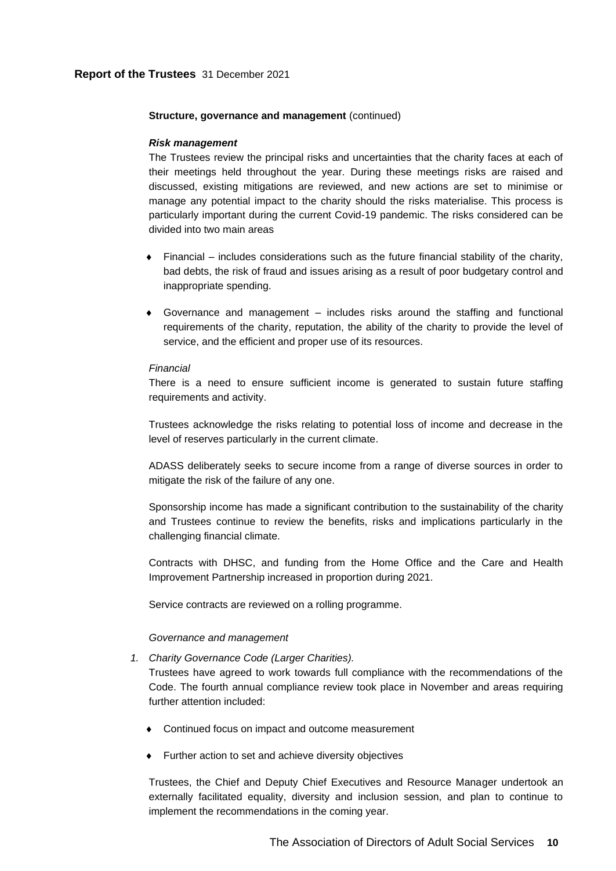### **Structure, governance and management** (continued)

#### *Risk management*

The Trustees review the principal risks and uncertainties that the charity faces at each of their meetings held throughout the year. During these meetings risks are raised and discussed, existing mitigations are reviewed, and new actions are set to minimise or manage any potential impact to the charity should the risks materialise. This process is particularly important during the current Covid-19 pandemic. The risks considered can be divided into two main areas

- $\bullet$  Financial includes considerations such as the future financial stability of the charity, bad debts, the risk of fraud and issues arising as a result of poor budgetary control and inappropriate spending.
- Governance and management includes risks around the staffing and functional requirements of the charity, reputation, the ability of the charity to provide the level of service, and the efficient and proper use of its resources.

#### *Financial*

There is a need to ensure sufficient income is generated to sustain future staffing requirements and activity.

Trustees acknowledge the risks relating to potential loss of income and decrease in the level of reserves particularly in the current climate.

ADASS deliberately seeks to secure income from a range of diverse sources in order to mitigate the risk of the failure of any one.

Sponsorship income has made a significant contribution to the sustainability of the charity and Trustees continue to review the benefits, risks and implications particularly in the challenging financial climate.

Contracts with DHSC, and funding from the Home Office and the Care and Health Improvement Partnership increased in proportion during 2021.

Service contracts are reviewed on a rolling programme.

#### *Governance and management*

*1. Charity Governance Code (Larger Charities).*

Trustees have agreed to work towards full compliance with the recommendations of the Code. The fourth annual compliance review took place in November and areas requiring further attention included:

- Continued focus on impact and outcome measurement
- Further action to set and achieve diversity objectives

Trustees, the Chief and Deputy Chief Executives and Resource Manager undertook an externally facilitated equality, diversity and inclusion session, and plan to continue to implement the recommendations in the coming year.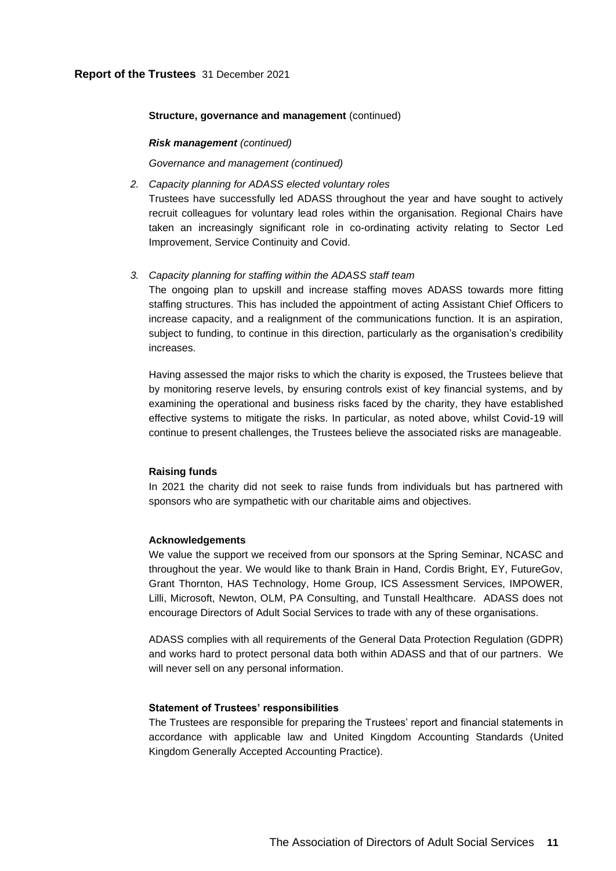# **Report of the Trustees** 31 December 2021

#### **Structure, governance and management** (continued)

#### *Risk management (continued)*

*Governance and management (continued)* 

*2. Capacity planning for ADASS elected voluntary roles*

Trustees have successfully led ADASS throughout the year and have sought to actively recruit colleagues for voluntary lead roles within the organisation. Regional Chairs have taken an increasingly significant role in co-ordinating activity relating to Sector Led Improvement, Service Continuity and Covid.

## *3. Capacity planning for staffing within the ADASS staff team*

The ongoing plan to upskill and increase staffing moves ADASS towards more fitting staffing structures. This has included the appointment of acting Assistant Chief Officers to increase capacity, and a realignment of the communications function. It is an aspiration, subject to funding, to continue in this direction, particularly as the organisation's credibility increases.

Having assessed the major risks to which the charity is exposed, the Trustees believe that by monitoring reserve levels, by ensuring controls exist of key financial systems, and by examining the operational and business risks faced by the charity, they have established effective systems to mitigate the risks. In particular, as noted above, whilst Covid-19 will continue to present challenges, the Trustees believe the associated risks are manageable.

#### **Raising funds**

In 2021 the charity did not seek to raise funds from individuals but has partnered with sponsors who are sympathetic with our charitable aims and objectives.

#### **Acknowledgements**

We value the support we received from our sponsors at the Spring Seminar, NCASC and throughout the year. We would like to thank Brain in Hand, Cordis Bright, EY, FutureGov, Grant Thornton, HAS Technology, Home Group, ICS Assessment Services, IMPOWER, Lilli, Microsoft, Newton, OLM, PA Consulting, and Tunstall Healthcare. ADASS does not encourage Directors of Adult Social Services to trade with any of these organisations.

ADASS complies with all requirements of the General Data Protection Regulation (GDPR) and works hard to protect personal data both within ADASS and that of our partners. We will never sell on any personal information.

### **Statement of Trustees' responsibilities**

The Trustees are responsible for preparing the Trustees' report and financial statements in accordance with applicable law and United Kingdom Accounting Standards (United Kingdom Generally Accepted Accounting Practice).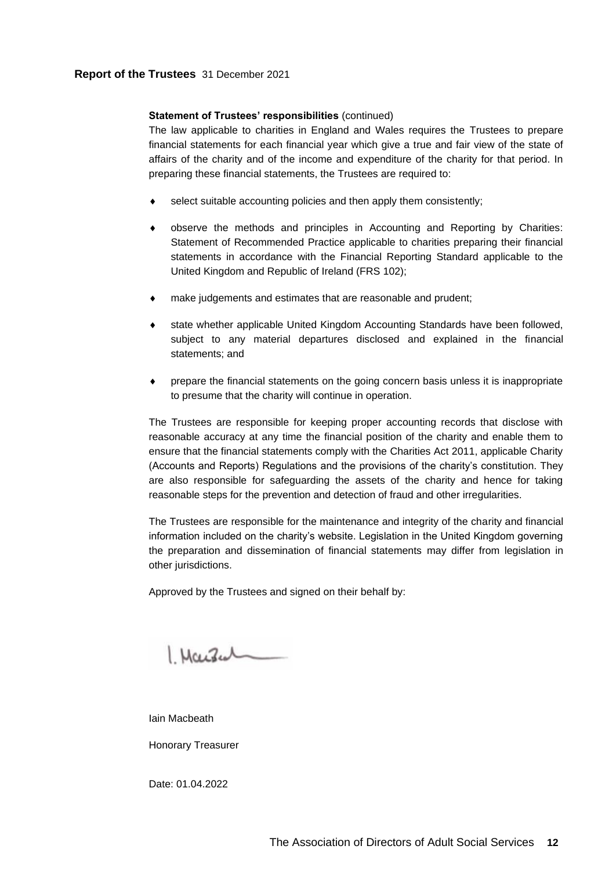# **Report of the Trustees** 31 December 2021

### **Statement of Trustees' responsibilities** (continued)

The law applicable to charities in England and Wales requires the Trustees to prepare financial statements for each financial year which give a true and fair view of the state of affairs of the charity and of the income and expenditure of the charity for that period. In preparing these financial statements, the Trustees are required to:

- select suitable accounting policies and then apply them consistently;
- observe the methods and principles in Accounting and Reporting by Charities: Statement of Recommended Practice applicable to charities preparing their financial statements in accordance with the Financial Reporting Standard applicable to the United Kingdom and Republic of Ireland (FRS 102);
- make judgements and estimates that are reasonable and prudent;
- state whether applicable United Kingdom Accounting Standards have been followed, subject to any material departures disclosed and explained in the financial statements; and
- prepare the financial statements on the going concern basis unless it is inappropriate to presume that the charity will continue in operation.

The Trustees are responsible for keeping proper accounting records that disclose with reasonable accuracy at any time the financial position of the charity and enable them to ensure that the financial statements comply with the Charities Act 2011, applicable Charity (Accounts and Reports) Regulations and the provisions of the charity's constitution. They are also responsible for safeguarding the assets of the charity and hence for taking reasonable steps for the prevention and detection of fraud and other irregularities.

The Trustees are responsible for the maintenance and integrity of the charity and financial information included on the charity's website. Legislation in the United Kingdom governing the preparation and dissemination of financial statements may differ from legislation in other jurisdictions.

Approved by the Trustees and signed on their behalf by:

1. Marsul

Iain Macbeath

Honorary Treasurer

Date: 01.04.2022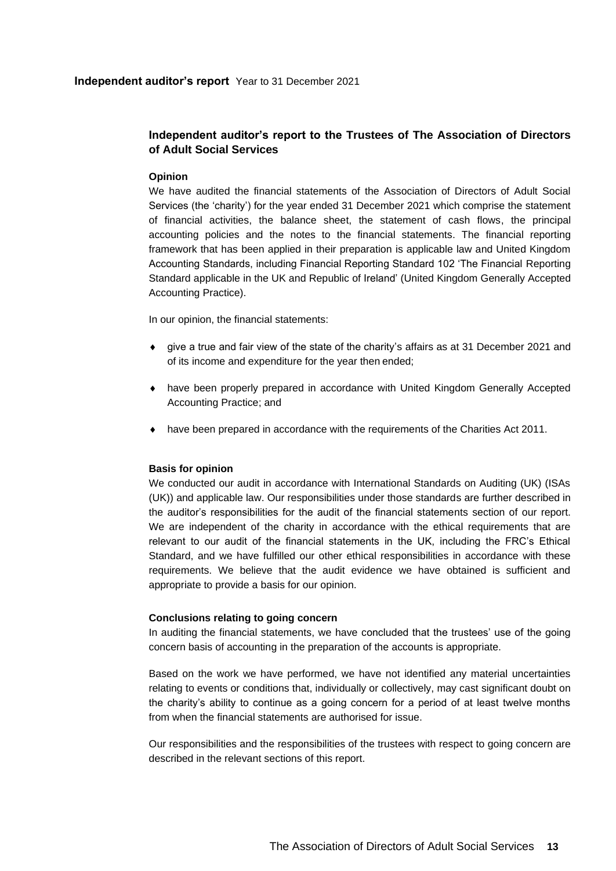## **Independent auditor's report** Year to 31 December 2021

# **Independent auditor's report to the Trustees of The Association of Directors of Adult Social Services**

# **Opinion**

<span id="page-14-0"></span>We have audited the financial statements of the Association of Directors of Adult Social Services (the 'charity') for the year ended 31 December 2021 which comprise the statement of financial activities, the balance sheet, the statement of cash flows, the principal accounting policies and the notes to the financial statements. The financial reporting framework that has been applied in their preparation is applicable law and United Kingdom Accounting Standards, including Financial Reporting Standard 102 'The Financial Reporting Standard applicable in the UK and Republic of Ireland' (United Kingdom Generally Accepted Accounting Practice).

In our opinion, the financial statements:

- give a true and fair view of the state of the charity's affairs as at 31 December 2021 and of its income and expenditure for the year then ended;
- have been properly prepared in accordance with United Kingdom Generally Accepted Accounting Practice; and
- have been prepared in accordance with the requirements of the Charities Act 2011.

# **Basis for opinion**

We conducted our audit in accordance with International Standards on Auditing (UK) (ISAs (UK)) and applicable law. Our responsibilities under those standards are further described in the auditor's responsibilities for the audit of the financial statements section of our report. We are independent of the charity in accordance with the ethical requirements that are relevant to our audit of the financial statements in the UK, including the FRC's Ethical Standard, and we have fulfilled our other ethical responsibilities in accordance with these requirements. We believe that the audit evidence we have obtained is sufficient and appropriate to provide a basis for our opinion.

## **Conclusions relating to going concern**

In auditing the financial statements, we have concluded that the trustees' use of the going concern basis of accounting in the preparation of the accounts is appropriate.

Based on the work we have performed, we have not identified any material uncertainties relating to events or conditions that, individually or collectively, may cast significant doubt on the charity's ability to continue as a going concern for a period of at least twelve months from when the financial statements are authorised for issue.

Our responsibilities and the responsibilities of the trustees with respect to going concern are described in the relevant sections of this report.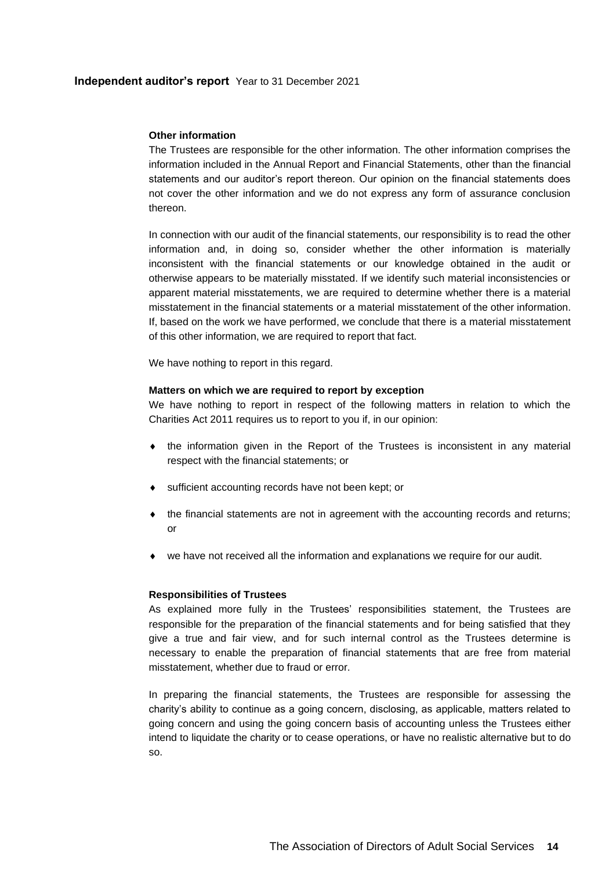# **Independent auditor's report** Year to 31 December 2021

# **Other information**

The Trustees are responsible for the other information. The other information comprises the information included in the Annual Report and Financial Statements, other than the financial statements and our auditor's report thereon. Our opinion on the financial statements does not cover the other information and we do not express any form of assurance conclusion thereon.

In connection with our audit of the financial statements, our responsibility is to read the other information and, in doing so, consider whether the other information is materially inconsistent with the financial statements or our knowledge obtained in the audit or otherwise appears to be materially misstated. If we identify such material inconsistencies or apparent material misstatements, we are required to determine whether there is a material misstatement in the financial statements or a material misstatement of the other information. If, based on the work we have performed, we conclude that there is a material misstatement of this other information, we are required to report that fact.

We have nothing to report in this regard.

# **Matters on which we are required to report by exception**

We have nothing to report in respect of the following matters in relation to which the Charities Act 2011 requires us to report to you if, in our opinion:

- $\bullet$  the information given in the Report of the Trustees is inconsistent in any material respect with the financial statements; or
- sufficient accounting records have not been kept; or
- the financial statements are not in agreement with the accounting records and returns; or
- we have not received all the information and explanations we require for our audit.

# **Responsibilities of Trustees**

As explained more fully in the Trustees' responsibilities statement, the Trustees are responsible for the preparation of the financial statements and for being satisfied that they give a true and fair view, and for such internal control as the Trustees determine is necessary to enable the preparation of financial statements that are free from material misstatement, whether due to fraud or error.

In preparing the financial statements, the Trustees are responsible for assessing the charity's ability to continue as a going concern, disclosing, as applicable, matters related to going concern and using the going concern basis of accounting unless the Trustees either intend to liquidate the charity or to cease operations, or have no realistic alternative but to do so.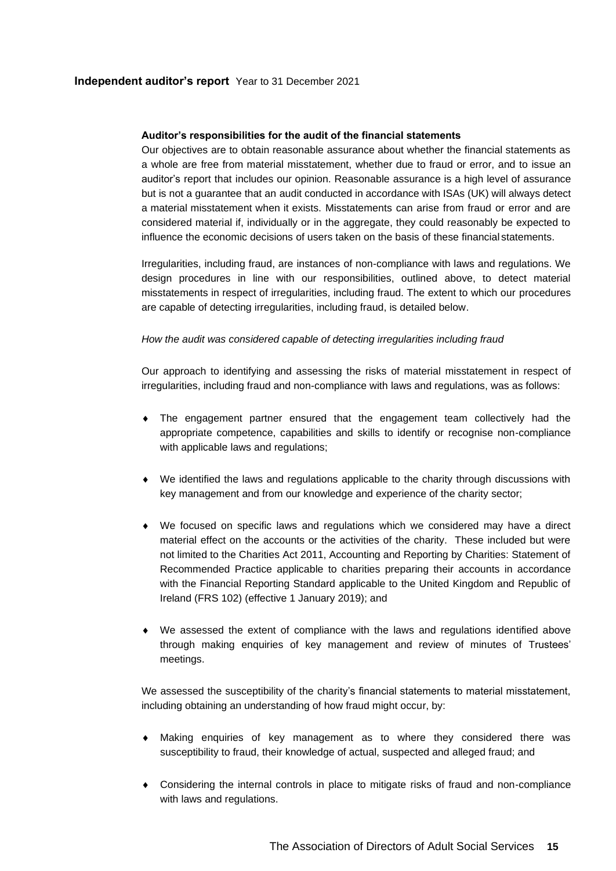# **Auditor's responsibilities for the audit of the financial statements**

Our objectives are to obtain reasonable assurance about whether the financial statements as a whole are free from material misstatement, whether due to fraud or error, and to issue an auditor's report that includes our opinion. Reasonable assurance is a high level of assurance but is not a guarantee that an audit conducted in accordance with ISAs (UK) will always detect a material misstatement when it exists. Misstatements can arise from fraud or error and are considered material if, individually or in the aggregate, they could reasonably be expected to influence the economic decisions of users taken on the basis of these financial statements.

Irregularities, including fraud, are instances of non-compliance with laws and regulations. We design procedures in line with our responsibilities, outlined above, to detect material misstatements in respect of irregularities, including fraud. The extent to which our procedures are capable of detecting irregularities, including fraud, is detailed below.

# *How the audit was considered capable of detecting irregularities including fraud*

Our approach to identifying and assessing the risks of material misstatement in respect of irregularities, including fraud and non-compliance with laws and regulations, was as follows:

- The engagement partner ensured that the engagement team collectively had the appropriate competence, capabilities and skills to identify or recognise non-compliance with applicable laws and regulations;
- We identified the laws and regulations applicable to the charity through discussions with key management and from our knowledge and experience of the charity sector;
- We focused on specific laws and regulations which we considered may have a direct material effect on the accounts or the activities of the charity. These included but were not limited to the Charities Act 2011, Accounting and Reporting by Charities: Statement of Recommended Practice applicable to charities preparing their accounts in accordance with the Financial Reporting Standard applicable to the United Kingdom and Republic of Ireland (FRS 102) (effective 1 January 2019); and
- We assessed the extent of compliance with the laws and regulations identified above through making enquiries of key management and review of minutes of Trustees' meetings.

We assessed the susceptibility of the charity's financial statements to material misstatement, including obtaining an understanding of how fraud might occur, by:

- Making enquiries of key management as to where they considered there was susceptibility to fraud, their knowledge of actual, suspected and alleged fraud; and
- Considering the internal controls in place to mitigate risks of fraud and non-compliance with laws and regulations.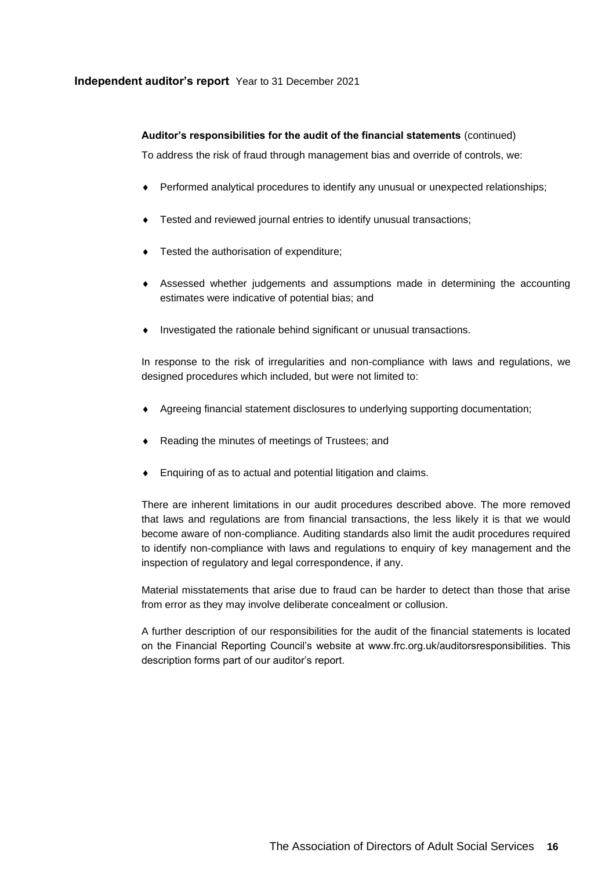# **Independent auditor's report** Year to 31 December 2021

# **Auditor's responsibilities for the audit of the financial statements** (continued)

To address the risk of fraud through management bias and override of controls, we:

- Performed analytical procedures to identify any unusual or unexpected relationships;
- Tested and reviewed journal entries to identify unusual transactions;
- $\bullet$  Tested the authorisation of expenditure;
- Assessed whether judgements and assumptions made in determining the accounting estimates were indicative of potential bias; and
- Investigated the rationale behind significant or unusual transactions.

In response to the risk of irregularities and non-compliance with laws and regulations, we designed procedures which included, but were not limited to:

- Agreeing financial statement disclosures to underlying supporting documentation;
- ◆ Reading the minutes of meetings of Trustees; and
- Enquiring of as to actual and potential litigation and claims.

There are inherent limitations in our audit procedures described above. The more removed that laws and regulations are from financial transactions, the less likely it is that we would become aware of non-compliance. Auditing standards also limit the audit procedures required to identify non-compliance with laws and regulations to enquiry of key management and the inspection of regulatory and legal correspondence, if any.

Material misstatements that arise due to fraud can be harder to detect than those that arise from error as they may involve deliberate concealment or collusion.

A further description of our responsibilities for the audit of the financial statements is located on the Financial Reporting Council's website at www.frc.org.uk/auditorsresponsibilities. This description forms part of our auditor's report.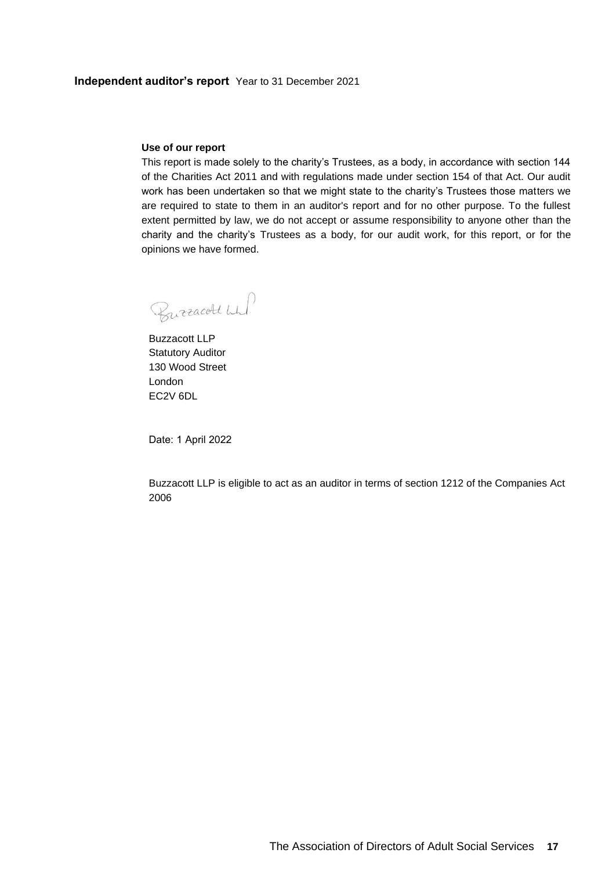## **Use of our report**

This report is made solely to the charity's Trustees, as a body, in accordance with section 144 of the Charities Act 2011 and with regulations made under section 154 of that Act. Our audit work has been undertaken so that we might state to the charity's Trustees those matters we are required to state to them in an auditor's report and for no other purpose. To the fullest extent permitted by law, we do not accept or assume responsibility to anyone other than the charity and the charity's Trustees as a body, for our audit work, for this report, or for the opinions we have formed.

Burracott wh!

Buzzacott LLP Statutory Auditor 130 Wood Street London EC2V 6DL

Date: 1 April 2022

Buzzacott LLP is eligible to act as an auditor in terms of section 1212 of the Companies Act 2006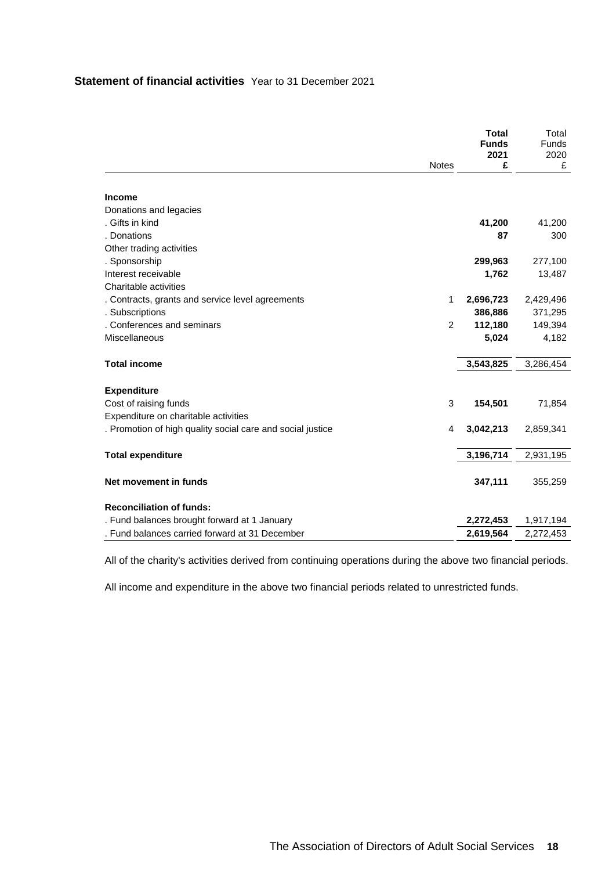# **Statement of financial activities** Year to 31 December 2021

<span id="page-19-0"></span>

|                                                            |              | <b>Total</b><br><b>Funds</b><br>2021 | Total<br><b>Funds</b><br>2020 |
|------------------------------------------------------------|--------------|--------------------------------------|-------------------------------|
|                                                            | <b>Notes</b> | £                                    | £                             |
|                                                            |              |                                      |                               |
| <b>Income</b>                                              |              |                                      |                               |
| Donations and legacies                                     |              |                                      |                               |
| . Gifts in kind                                            |              | 41,200                               | 41,200                        |
| . Donations                                                |              | 87                                   | 300                           |
| Other trading activities                                   |              |                                      |                               |
| . Sponsorship                                              |              | 299,963                              | 277,100                       |
| Interest receivable                                        |              | 1,762                                | 13,487                        |
| Charitable activities                                      |              |                                      |                               |
| . Contracts, grants and service level agreements           | 1            | 2,696,723                            | 2,429,496                     |
| . Subscriptions                                            |              | 386,886                              | 371,295                       |
| . Conferences and seminars                                 | 2            | 112,180                              | 149,394                       |
| Miscellaneous                                              |              | 5,024                                | 4,182                         |
| <b>Total income</b>                                        |              | 3,543,825                            | 3,286,454                     |
| <b>Expenditure</b>                                         |              |                                      |                               |
| Cost of raising funds                                      | 3            | 154,501                              | 71,854                        |
| Expenditure on charitable activities                       |              |                                      |                               |
| . Promotion of high quality social care and social justice | 4            | 3,042,213                            | 2,859,341                     |
| <b>Total expenditure</b>                                   |              | 3,196,714                            | 2,931,195                     |
|                                                            |              |                                      |                               |
| Net movement in funds                                      |              | 347,111                              | 355,259                       |
| <b>Reconciliation of funds:</b>                            |              |                                      |                               |
| . Fund balances brought forward at 1 January               |              | 2,272,453                            | 1,917,194                     |
| . Fund balances carried forward at 31 December             |              | 2,619,564                            | 2,272,453                     |

All of the charity's activities derived from continuing operations during the above two financial periods.

All income and expenditure in the above two financial periods related to unrestricted funds.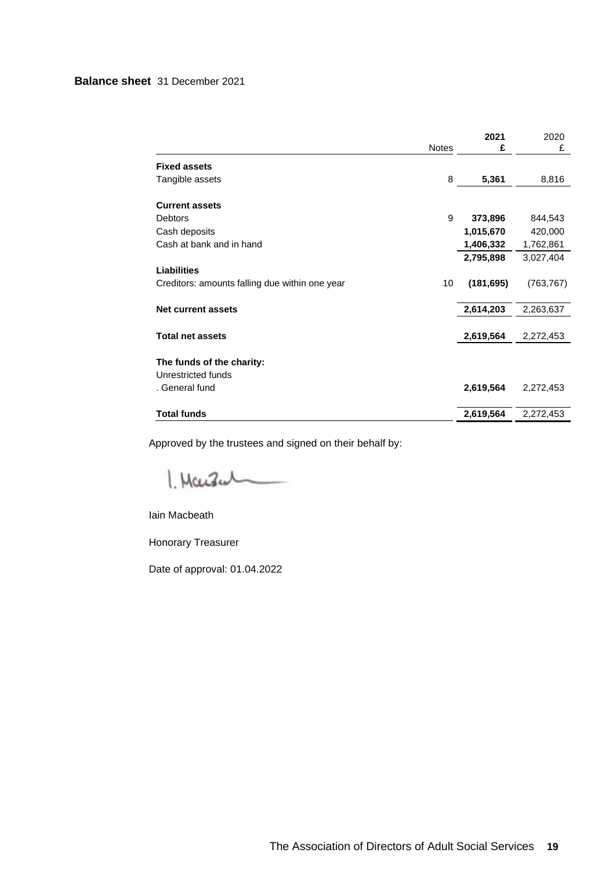# **Balance sheet** 31 December 2021

|                                                 | <b>Notes</b> | 2021<br>£  | 2020<br>£  |
|-------------------------------------------------|--------------|------------|------------|
|                                                 |              |            |            |
| <b>Fixed assets</b>                             |              |            |            |
| Tangible assets                                 | 8            | 5,361      | 8,816      |
| <b>Current assets</b>                           |              |            |            |
| <b>Debtors</b>                                  | 9            | 373,896    | 844,543    |
| Cash deposits                                   |              | 1,015,670  | 420,000    |
| Cash at bank and in hand                        |              | 1,406,332  | 1,762,861  |
|                                                 |              | 2,795,898  | 3,027,404  |
| <b>Liabilities</b>                              |              |            |            |
| Creditors: amounts falling due within one year  | 10           | (181, 695) | (763, 767) |
| <b>Net current assets</b>                       |              | 2,614,203  | 2,263,637  |
|                                                 |              |            |            |
| <b>Total net assets</b>                         |              | 2,619,564  | 2,272,453  |
|                                                 |              |            |            |
| The funds of the charity:<br>Unrestricted funds |              |            |            |
|                                                 |              |            |            |
| . General fund                                  |              | 2,619,564  | 2,272,453  |
| <b>Total funds</b>                              |              | 2,619,564  | 2,272,453  |

<span id="page-20-0"></span>Approved by the trustees and signed on their behalf by:

1. Marsen

Iain Macbeath

Honorary Treasurer

Date of approval: 01.04.2022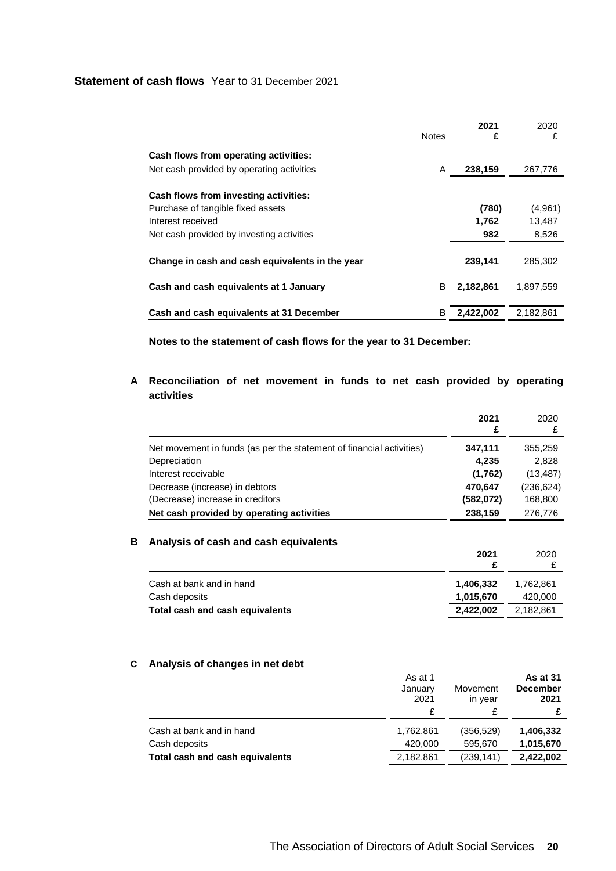# **Statement of cash flows** Year to 31 December 2021

<span id="page-21-0"></span>

|                                                 | <b>Notes</b> | 2021<br>£ | 2020<br>£ |
|-------------------------------------------------|--------------|-----------|-----------|
| Cash flows from operating activities:           |              |           |           |
| Net cash provided by operating activities       | A            | 238,159   | 267,776   |
| Cash flows from investing activities:           |              |           |           |
| Purchase of tangible fixed assets               |              | (780)     | (4,961)   |
| Interest received                               |              | 1,762     | 13.487    |
| Net cash provided by investing activities       |              | 982       | 8,526     |
| Change in cash and cash equivalents in the year |              | 239,141   | 285,302   |
| Cash and cash equivalents at 1 January          | B            | 2,182,861 | 1.897.559 |
| Cash and cash equivalents at 31 December        | в            | 2,422,002 | 2,182,861 |

**Notes to the statement of cash flows for the year to 31 December:**

# **A Reconciliation of net movement in funds to net cash provided by operating activities**

| £<br>Net movement in funds (as per the statement of financial activities)<br>347,111<br>Depreciation<br>4.235<br>Interest receivable<br>(1,762) |                                | 2021    | 2020       |
|-------------------------------------------------------------------------------------------------------------------------------------------------|--------------------------------|---------|------------|
|                                                                                                                                                 |                                |         |            |
|                                                                                                                                                 |                                |         | 355,259    |
|                                                                                                                                                 |                                |         | 2,828      |
|                                                                                                                                                 |                                |         | (13, 487)  |
|                                                                                                                                                 | Decrease (increase) in debtors | 470.647 | (236, 624) |
| (Decrease) increase in creditors<br>(582,072)                                                                                                   |                                |         | 168,800    |
| Net cash provided by operating activities<br>238,159                                                                                            |                                |         | 276,776    |

# **B Analysis of cash and cash equivalents**

|                                 | 2021      | 2020      |
|---------------------------------|-----------|-----------|
| Cash at bank and in hand        | 1,406,332 | 1.762.861 |
| Cash deposits                   | 1.015.670 | 420,000   |
| Total cash and cash equivalents | 2.422.002 | 2.182.861 |

# **C Analysis of changes in net debt**

|                                 | As at 1<br>January<br>2021<br>£ | Movement<br>in year | As at 31<br><b>December</b><br>2021 |
|---------------------------------|---------------------------------|---------------------|-------------------------------------|
| Cash at bank and in hand        | 1,762,861                       | (356, 529)          | 1,406,332                           |
| Cash deposits                   | 420,000                         | 595.670             | 1,015,670                           |
| Total cash and cash equivalents | 2,182,861                       | (239, 141)          | 2,422,002                           |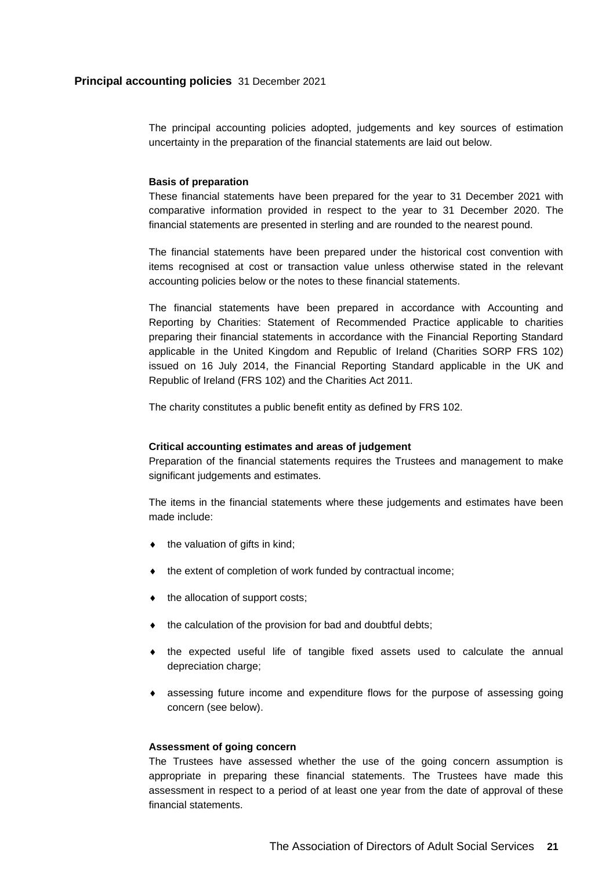<span id="page-22-0"></span>The principal accounting policies adopted, judgements and key sources of estimation uncertainty in the preparation of the financial statements are laid out below.

#### **Basis of preparation**

These financial statements have been prepared for the year to 31 December 2021 with comparative information provided in respect to the year to 31 December 2020. The financial statements are presented in sterling and are rounded to the nearest pound.

The financial statements have been prepared under the historical cost convention with items recognised at cost or transaction value unless otherwise stated in the relevant accounting policies below or the notes to these financial statements.

The financial statements have been prepared in accordance with Accounting and Reporting by Charities: Statement of Recommended Practice applicable to charities preparing their financial statements in accordance with the Financial Reporting Standard applicable in the United Kingdom and Republic of Ireland (Charities SORP FRS 102) issued on 16 July 2014, the Financial Reporting Standard applicable in the UK and Republic of Ireland (FRS 102) and the Charities Act 2011.

The charity constitutes a public benefit entity as defined by FRS 102.

## **Critical accounting estimates and areas of judgement**

Preparation of the financial statements requires the Trustees and management to make significant judgements and estimates.

The items in the financial statements where these judgements and estimates have been made include:

- $\bullet$  the valuation of gifts in kind;
- $\bullet$  the extent of completion of work funded by contractual income;
- $\bullet$  the allocation of support costs;
- $\bullet$  the calculation of the provision for bad and doubtful debts;
- $\bullet$  the expected useful life of tangible fixed assets used to calculate the annual depreciation charge;
- assessing future income and expenditure flows for the purpose of assessing going concern (see below).

### **Assessment of going concern**

The Trustees have assessed whether the use of the going concern assumption is appropriate in preparing these financial statements. The Trustees have made this assessment in respect to a period of at least one year from the date of approval of these financial statements.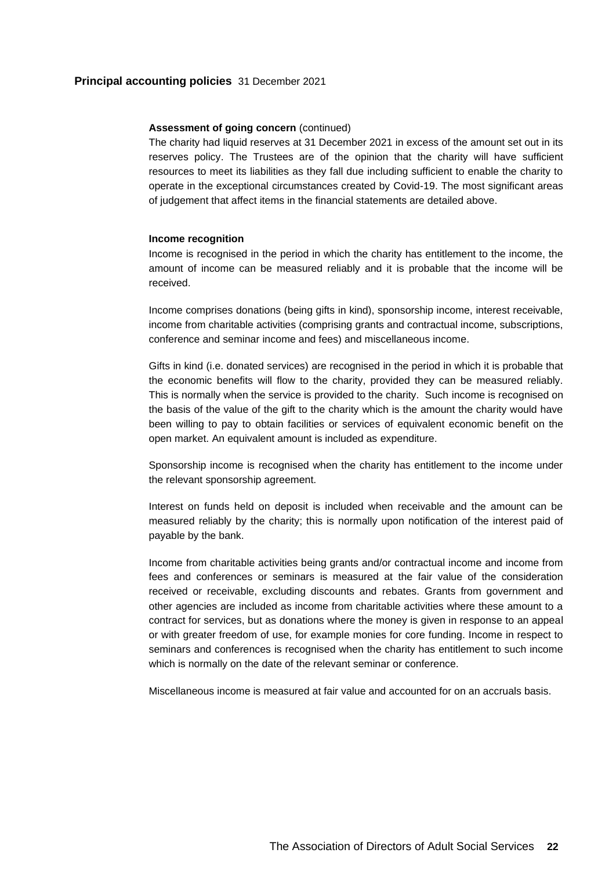## **Principal accounting policies** 31 December 2021

#### **Assessment of going concern** (continued)

The charity had liquid reserves at 31 December 2021 in excess of the amount set out in its reserves policy. The Trustees are of the opinion that the charity will have sufficient resources to meet its liabilities as they fall due including sufficient to enable the charity to operate in the exceptional circumstances created by Covid-19. The most significant areas of judgement that affect items in the financial statements are detailed above.

#### **Income recognition**

Income is recognised in the period in which the charity has entitlement to the income, the amount of income can be measured reliably and it is probable that the income will be received.

Income comprises donations (being gifts in kind), sponsorship income, interest receivable, income from charitable activities (comprising grants and contractual income, subscriptions, conference and seminar income and fees) and miscellaneous income.

Gifts in kind (i.e. donated services) are recognised in the period in which it is probable that the economic benefits will flow to the charity, provided they can be measured reliably. This is normally when the service is provided to the charity. Such income is recognised on the basis of the value of the gift to the charity which is the amount the charity would have been willing to pay to obtain facilities or services of equivalent economic benefit on the open market. An equivalent amount is included as expenditure.

Sponsorship income is recognised when the charity has entitlement to the income under the relevant sponsorship agreement.

Interest on funds held on deposit is included when receivable and the amount can be measured reliably by the charity; this is normally upon notification of the interest paid of payable by the bank.

Income from charitable activities being grants and/or contractual income and income from fees and conferences or seminars is measured at the fair value of the consideration received or receivable, excluding discounts and rebates. Grants from government and other agencies are included as income from charitable activities where these amount to a contract for services, but as donations where the money is given in response to an appeal or with greater freedom of use, for example monies for core funding. Income in respect to seminars and conferences is recognised when the charity has entitlement to such income which is normally on the date of the relevant seminar or conference.

Miscellaneous income is measured at fair value and accounted for on an accruals basis.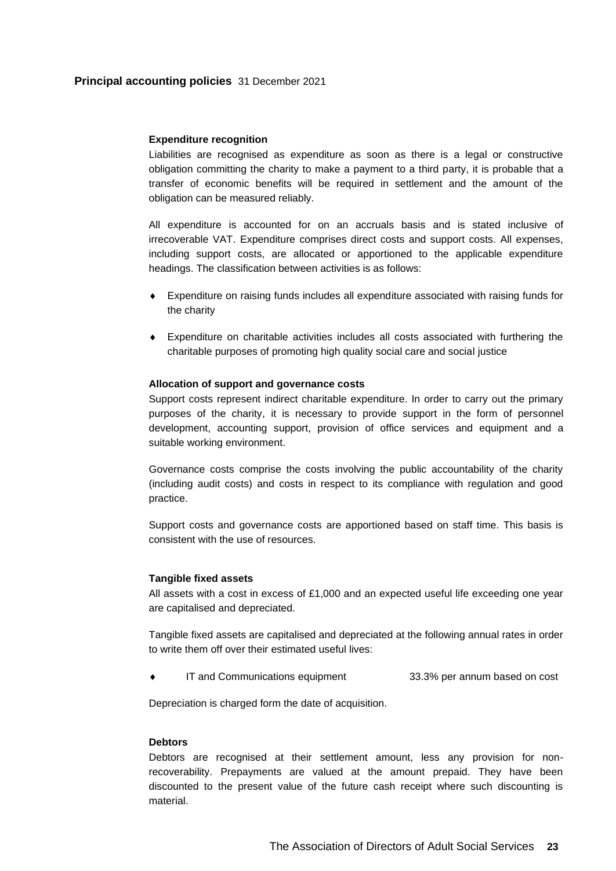# **Expenditure recognition**

Liabilities are recognised as expenditure as soon as there is a legal or constructive obligation committing the charity to make a payment to a third party, it is probable that a transfer of economic benefits will be required in settlement and the amount of the obligation can be measured reliably.

All expenditure is accounted for on an accruals basis and is stated inclusive of irrecoverable VAT. Expenditure comprises direct costs and support costs. All expenses, including support costs, are allocated or apportioned to the applicable expenditure headings. The classification between activities is as follows:

- Expenditure on raising funds includes all expenditure associated with raising funds for the charity
- Expenditure on charitable activities includes all costs associated with furthering the charitable purposes of promoting high quality social care and social justice

## **Allocation of support and governance costs**

Support costs represent indirect charitable expenditure. In order to carry out the primary purposes of the charity, it is necessary to provide support in the form of personnel development, accounting support, provision of office services and equipment and a suitable working environment.

Governance costs comprise the costs involving the public accountability of the charity (including audit costs) and costs in respect to its compliance with regulation and good practice.

Support costs and governance costs are apportioned based on staff time. This basis is consistent with the use of resources.

#### **Tangible fixed assets**

All assets with a cost in excess of £1,000 and an expected useful life exceeding one year are capitalised and depreciated.

Tangible fixed assets are capitalised and depreciated at the following annual rates in order to write them off over their estimated useful lives:

IT and Communications equipment 33.3% per annum based on cost

Depreciation is charged form the date of acquisition.

# **Debtors**

Debtors are recognised at their settlement amount, less any provision for nonrecoverability. Prepayments are valued at the amount prepaid. They have been discounted to the present value of the future cash receipt where such discounting is material.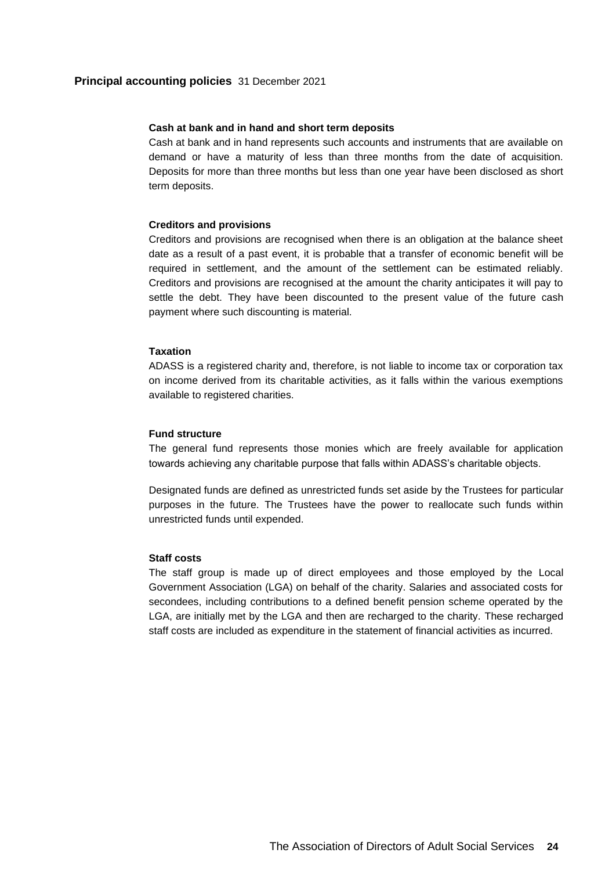## **Cash at bank and in hand and short term deposits**

Cash at bank and in hand represents such accounts and instruments that are available on demand or have a maturity of less than three months from the date of acquisition. Deposits for more than three months but less than one year have been disclosed as short term deposits.

### **Creditors and provisions**

Creditors and provisions are recognised when there is an obligation at the balance sheet date as a result of a past event, it is probable that a transfer of economic benefit will be required in settlement, and the amount of the settlement can be estimated reliably. Creditors and provisions are recognised at the amount the charity anticipates it will pay to settle the debt. They have been discounted to the present value of the future cash payment where such discounting is material.

## **Taxation**

ADASS is a registered charity and, therefore, is not liable to income tax or corporation tax on income derived from its charitable activities, as it falls within the various exemptions available to registered charities.

### **Fund structure**

The general fund represents those monies which are freely available for application towards achieving any charitable purpose that falls within ADASS's charitable objects.

Designated funds are defined as unrestricted funds set aside by the Trustees for particular purposes in the future. The Trustees have the power to reallocate such funds within unrestricted funds until expended.

### **Staff costs**

<span id="page-25-0"></span>The staff group is made up of direct employees and those employed by the Local Government Association (LGA) on behalf of the charity. Salaries and associated costs for secondees, including contributions to a defined benefit pension scheme operated by the LGA, are initially met by the LGA and then are recharged to the charity. These recharged staff costs are included as expenditure in the statement of financial activities as incurred.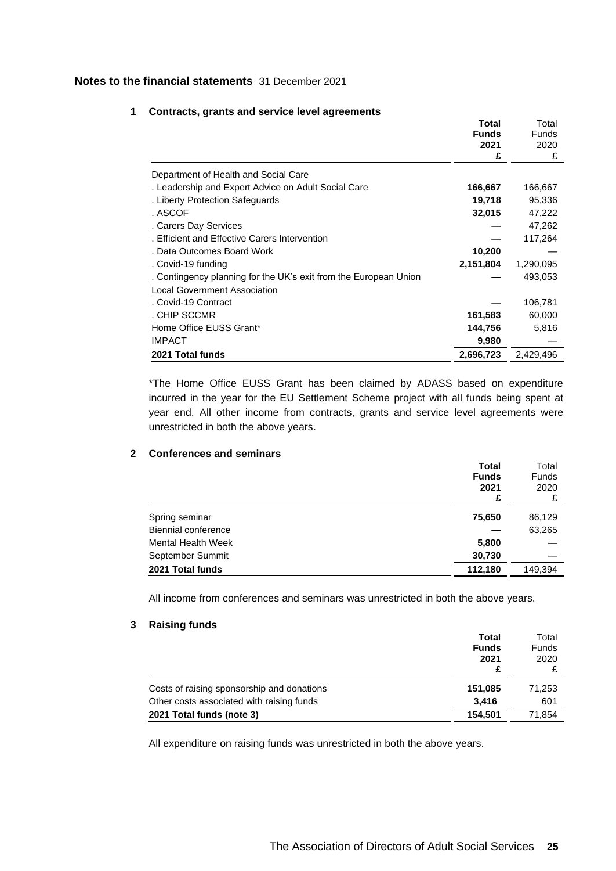<span id="page-26-0"></span>

| 1 |  |  |  |  | <b>Contracts, grants and service level agreements</b> |
|---|--|--|--|--|-------------------------------------------------------|
|---|--|--|--|--|-------------------------------------------------------|

|                                                                  | Total        | Total        |
|------------------------------------------------------------------|--------------|--------------|
|                                                                  | <b>Funds</b> | <b>Funds</b> |
|                                                                  | 2021         | 2020         |
|                                                                  | £            | £            |
| Department of Health and Social Care                             |              |              |
| . Leadership and Expert Advice on Adult Social Care              | 166,667      | 166,667      |
| . Liberty Protection Safeguards                                  | 19,718       | 95,336       |
| . ASCOF                                                          | 32,015       | 47,222       |
| . Carers Day Services                                            |              | 47,262       |
| . Efficient and Effective Carers Intervention                    |              | 117,264      |
| . Data Outcomes Board Work                                       | 10,200       |              |
| . Covid-19 funding                                               | 2,151,804    | 1,290,095    |
| . Contingency planning for the UK's exit from the European Union |              | 493,053      |
| <b>Local Government Association</b>                              |              |              |
| . Covid-19 Contract                                              |              | 106,781      |
| . CHIP SCCMR                                                     | 161,583      | 60,000       |
| Home Office EUSS Grant*                                          | 144,756      | 5,816        |
| <b>IMPACT</b>                                                    | 9,980        |              |
| 2021 Total funds                                                 | 2,696,723    | 2,429,496    |

\*The Home Office EUSS Grant has been claimed by ADASS based on expenditure incurred in the year for the EU Settlement Scheme project with all funds being spent at year end. All other income from contracts, grants and service level agreements were unrestricted in both the above years.

# **2 Conferences and seminars**

|                            | <b>Total</b> | Total        |
|----------------------------|--------------|--------------|
|                            | <b>Funds</b> | <b>Funds</b> |
|                            | 2021         | 2020         |
|                            | £            | £            |
| Spring seminar             | 75,650       | 86,129       |
| <b>Biennial conference</b> |              | 63,265       |
| <b>Mental Health Week</b>  | 5,800        |              |
| September Summit           | 30,730       |              |
| 2021 Total funds           | 112,180      | 149.394      |

All income from conferences and seminars was unrestricted in both the above years.

### **3 Raising funds**

|                                                                                         | Total<br><b>Funds</b><br>2021 | Total<br><b>Funds</b><br>2020 |
|-----------------------------------------------------------------------------------------|-------------------------------|-------------------------------|
| Costs of raising sponsorship and donations<br>Other costs associated with raising funds | 151,085<br>3.416              | 71.253<br>601                 |
| 2021 Total funds (note 3)                                                               | 154,501                       | 71.854                        |

All expenditure on raising funds was unrestricted in both the above years.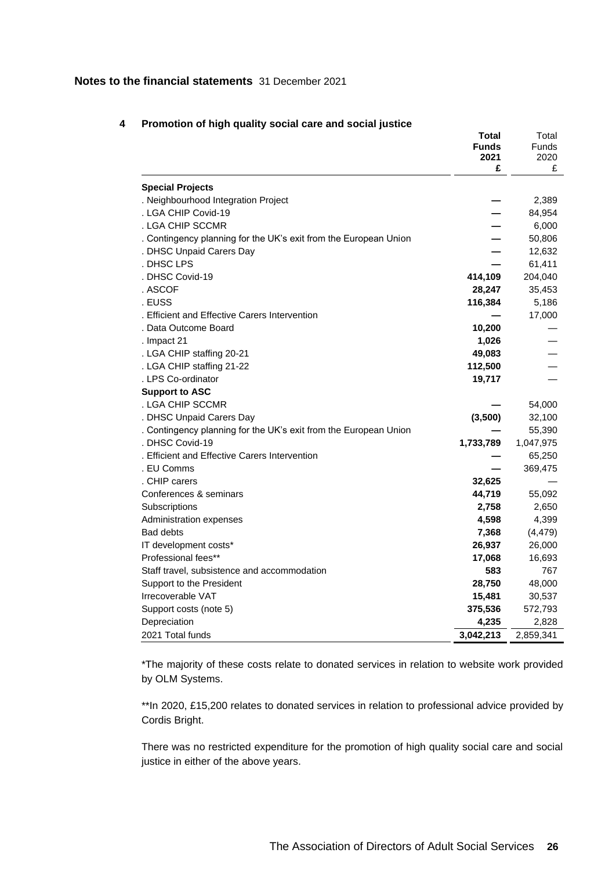|                                                                  | Total        | Total        |
|------------------------------------------------------------------|--------------|--------------|
|                                                                  | <b>Funds</b> | <b>Funds</b> |
|                                                                  | 2021         | 2020         |
|                                                                  | £            | £            |
| <b>Special Projects</b>                                          |              |              |
| . Neighbourhood Integration Project                              |              | 2,389        |
| . LGA CHIP Covid-19                                              |              | 84,954       |
| . LGA CHIP SCCMR                                                 |              | 6,000        |
| . Contingency planning for the UK's exit from the European Union |              | 50,806       |
| . DHSC Unpaid Carers Day                                         |              | 12,632       |
| . DHSC LPS                                                       |              | 61,411       |
| . DHSC Covid-19                                                  | 414,109      | 204,040      |
| . ASCOF                                                          | 28,247       | 35,453       |
| . EUSS                                                           | 116,384      | 5,186        |
| . Efficient and Effective Carers Intervention                    |              | 17,000       |
| . Data Outcome Board                                             | 10,200       |              |
| . Impact 21                                                      | 1,026        |              |
| . LGA CHIP staffing 20-21                                        | 49,083       |              |
| . LGA CHIP staffing 21-22                                        | 112,500      |              |
| . LPS Co-ordinator                                               | 19,717       |              |
| <b>Support to ASC</b>                                            |              |              |
| . LGA CHIP SCCMR                                                 |              | 54,000       |
| . DHSC Unpaid Carers Day                                         | (3,500)      | 32,100       |
| . Contingency planning for the UK's exit from the European Union |              | 55,390       |
| . DHSC Covid-19                                                  | 1,733,789    | 1,047,975    |
| . Efficient and Effective Carers Intervention                    |              | 65,250       |
| . EU Comms                                                       |              | 369,475      |
| . CHIP carers                                                    | 32,625       |              |
| Conferences & seminars                                           | 44,719       | 55,092       |
| Subscriptions                                                    | 2,758        | 2,650        |
| Administration expenses                                          | 4,598        | 4,399        |
| <b>Bad debts</b>                                                 | 7,368        | (4, 479)     |
| IT development costs*                                            | 26,937       | 26,000       |
| Professional fees**                                              | 17,068       | 16,693       |
| Staff travel, subsistence and accommodation                      | 583          | 767          |
| Support to the President                                         | 28,750       | 48,000       |
| Irrecoverable VAT                                                | 15,481       | 30,537       |
| Support costs (note 5)                                           | 375,536      | 572,793      |
| Depreciation                                                     | 4,235        | 2,828        |
| 2021 Total funds                                                 | 3,042,213    | 2,859,341    |

# **4 Promotion of high quality social care and social justice**

\*The majority of these costs relate to donated services in relation to website work provided by OLM Systems.

\*\*In 2020, £15,200 relates to donated services in relation to professional advice provided by Cordis Bright.

There was no restricted expenditure for the promotion of high quality social care and social justice in either of the above years.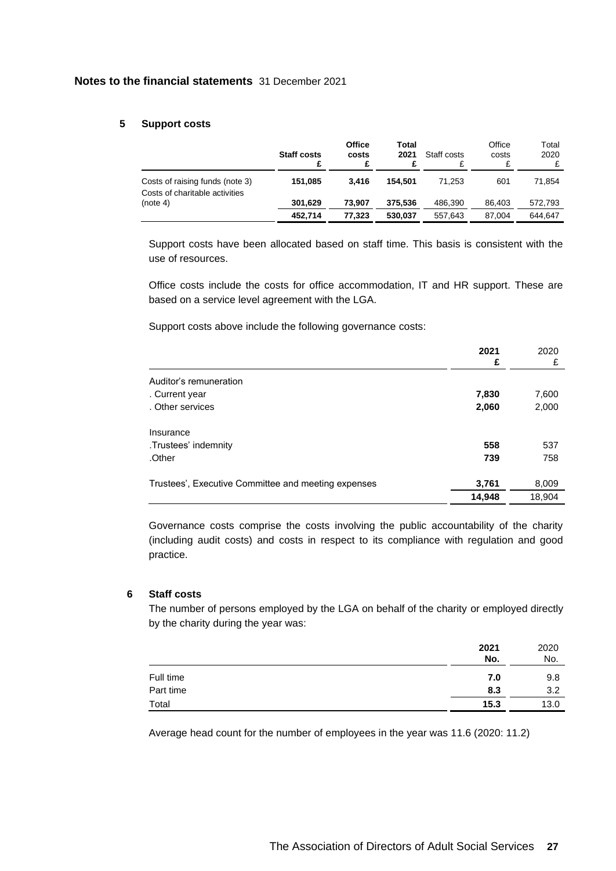# **5 Support costs**

|                                                                   | <b>Staff costs</b> | <b>Office</b><br>costs | Total<br>2021 | Staff costs | Office<br>costs | Total<br>2020 |
|-------------------------------------------------------------------|--------------------|------------------------|---------------|-------------|-----------------|---------------|
| Costs of raising funds (note 3)<br>Costs of charitable activities | 151.085            | 3.416                  | 154.501       | 71.253      | 601             | 71.854        |
| (note 4)                                                          | 301.629            | 73.907                 | 375.536       | 486.390     | 86.403          | 572,793       |
|                                                                   | 452.714            | 77.323                 | 530.037       | 557.643     | 87.004          | 644.647       |

Support costs have been allocated based on staff time. This basis is consistent with the use of resources.

Office costs include the costs for office accommodation, IT and HR support. These are based on a service level agreement with the LGA.

Support costs above include the following governance costs:

|                                                     | 2021<br>£ | 2020<br>£ |
|-----------------------------------------------------|-----------|-----------|
| Auditor's remuneration                              |           |           |
| . Current year                                      | 7,830     | 7,600     |
| . Other services                                    | 2,060     | 2,000     |
| Insurance                                           |           |           |
| .Trustees' indemnity                                | 558       | 537       |
| .Other                                              | 739       | 758       |
| Trustees', Executive Committee and meeting expenses | 3,761     | 8,009     |
|                                                     | 14,948    | 18,904    |

Governance costs comprise the costs involving the public accountability of the charity (including audit costs) and costs in respect to its compliance with regulation and good practice.

# **6 Staff costs**

The number of persons employed by the LGA on behalf of the charity or employed directly by the charity during the year was:

|           | 2021<br>No. | 2020<br>No. |
|-----------|-------------|-------------|
| Full time | 7.0         | 9.8         |
| Part time | 8.3         | 3.2         |
| Total     | 15.3        | 13.0        |

Average head count for the number of employees in the year was 11.6 (2020: 11.2)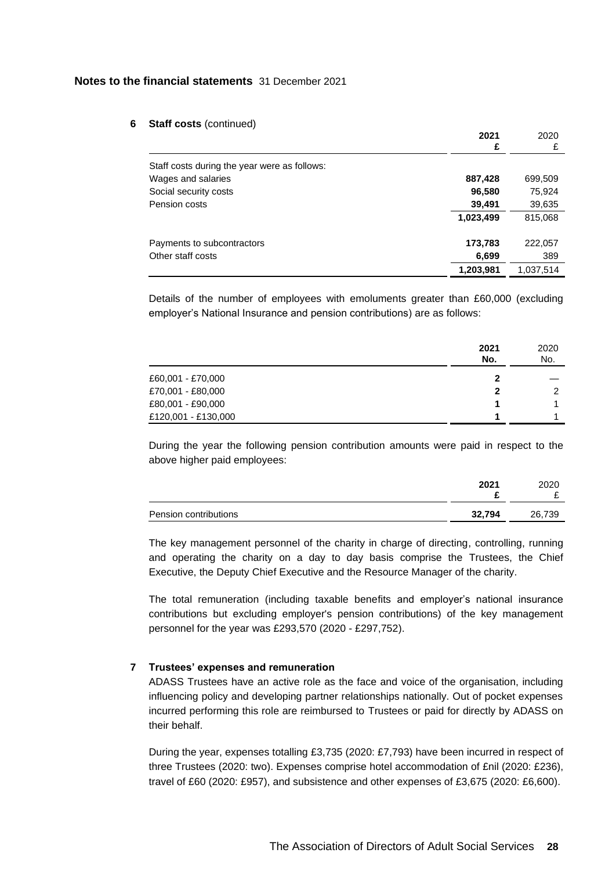#### **6 Staff costs** (continued)

|                                              | 2021<br>£ | 2020<br>£ |
|----------------------------------------------|-----------|-----------|
| Staff costs during the year were as follows: |           |           |
| Wages and salaries                           | 887,428   | 699,509   |
| Social security costs                        | 96,580    | 75,924    |
| Pension costs                                | 39,491    | 39,635    |
|                                              | 1,023,499 | 815,068   |
| Payments to subcontractors                   | 173,783   | 222,057   |
| Other staff costs                            | 6,699     | 389       |
|                                              | 1,203,981 | 1,037,514 |

Details of the number of employees with emoluments greater than £60,000 (excluding employer's National Insurance and pension contributions) are as follows:

|                     | 2021<br>No. | 2020<br>No. |
|---------------------|-------------|-------------|
| £60,001 - £70,000   | 2           |             |
| £70,001 - £80,000   | 2           | ົ           |
| £80,001 - £90,000   |             |             |
| £120,001 - £130,000 |             |             |

During the year the following pension contribution amounts were paid in respect to the above higher paid employees:

|                       | 2021   | 2020<br>- |
|-----------------------|--------|-----------|
| Pension contributions | 32,794 | 26,739    |

The key management personnel of the charity in charge of directing, controlling, running and operating the charity on a day to day basis comprise the Trustees, the Chief Executive, the Deputy Chief Executive and the Resource Manager of the charity.

The total remuneration (including taxable benefits and employer's national insurance contributions but excluding employer's pension contributions) of the key management personnel for the year was £293,570 (2020 - £297,752).

### **7 Trustees' expenses and remuneration**

ADASS Trustees have an active role as the face and voice of the organisation, including influencing policy and developing partner relationships nationally. Out of pocket expenses incurred performing this role are reimbursed to Trustees or paid for directly by ADASS on their behalf.

During the year, expenses totalling £3,735 (2020: £7,793) have been incurred in respect of three Trustees (2020: two). Expenses comprise hotel accommodation of £nil (2020: £236), travel of £60 (2020: £957), and subsistence and other expenses of £3,675 (2020: £6,600).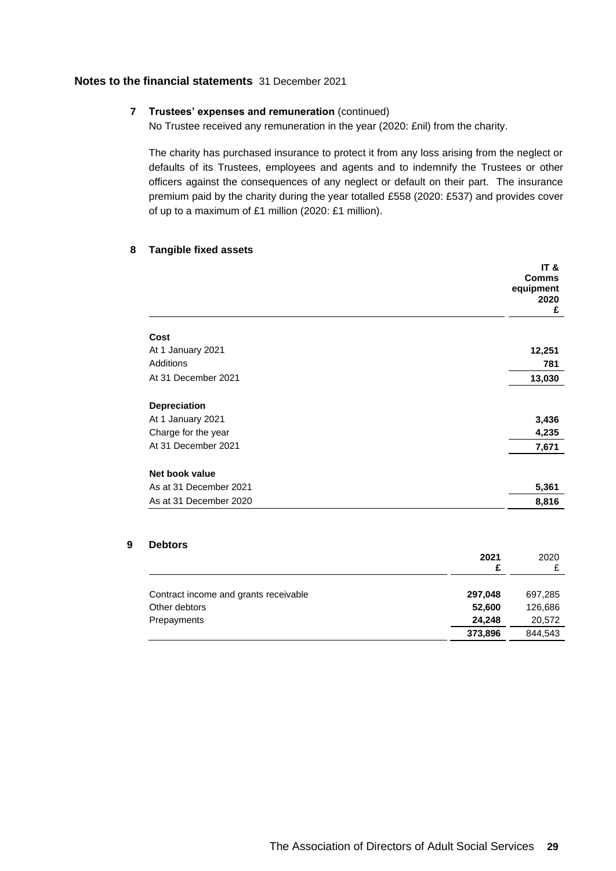# **7 Trustees' expenses and remuneration** (continued)

No Trustee received any remuneration in the year (2020: £nil) from the charity.

The charity has purchased insurance to protect it from any loss arising from the neglect or defaults of its Trustees, employees and agents and to indemnify the Trustees or other officers against the consequences of any neglect or default on their part. The insurance premium paid by the charity during the year totalled £558 (2020: £537) and provides cover of up to a maximum of £1 million (2020: £1 million).

### **8 Tangible fixed assets**

|                        | IT &<br><b>Comms</b><br>equipment<br>2020<br>£ |
|------------------------|------------------------------------------------|
| Cost                   |                                                |
| At 1 January 2021      | 12,251                                         |
| Additions              | 781                                            |
| At 31 December 2021    | 13,030                                         |
| <b>Depreciation</b>    |                                                |
| At 1 January 2021      | 3,436                                          |
| Charge for the year    | 4,235                                          |
| At 31 December 2021    | 7,671                                          |
| Net book value         |                                                |
| As at 31 December 2021 | 5,361                                          |
| As at 31 December 2020 | 8,816                                          |

# **9 Debtors**

|                                       | 2021<br>£ | 2020    |
|---------------------------------------|-----------|---------|
| Contract income and grants receivable | 297,048   | 697,285 |
| Other debtors                         | 52,600    | 126,686 |
| Prepayments                           | 24,248    | 20,572  |
|                                       | 373,896   | 844.543 |